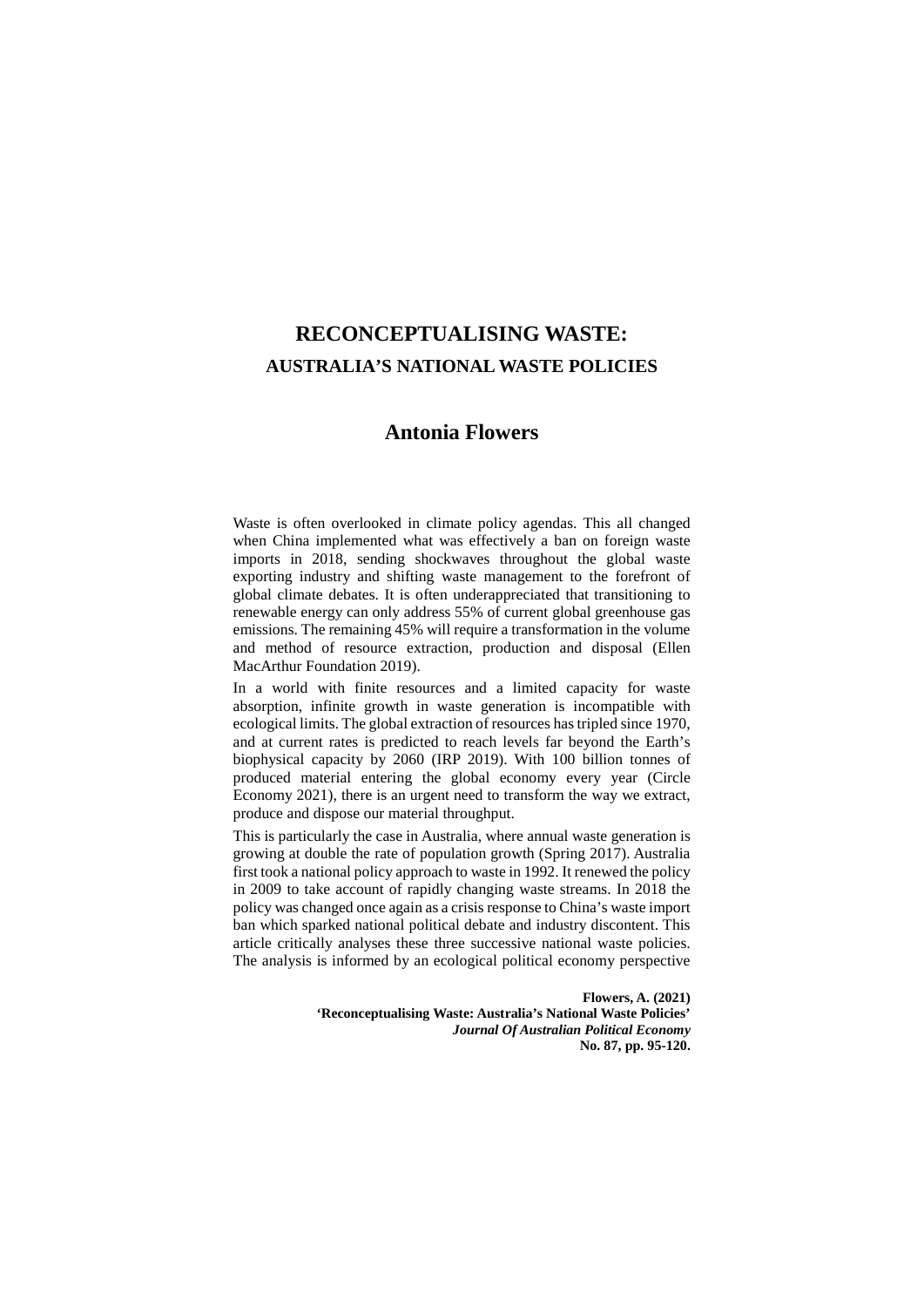# **RECONCEPTUALISING WASTE: AUSTRALIA'S NATIONAL WASTE POLICIES**

# **Antonia Flowers**

Waste is often overlooked in climate policy agendas. This all changed when China implemented what was effectively a ban on foreign waste imports in 2018, sending shockwaves throughout the global waste exporting industry and shifting waste management to the forefront of global climate debates. It is often underappreciated that transitioning to renewable energy can only address 55% of current global greenhouse gas emissions. The remaining 45% will require a transformation in the volume and method of resource extraction, production and disposal (Ellen MacArthur Foundation 2019).

In a world with finite resources and a limited capacity for waste absorption, infinite growth in waste generation is incompatible with ecological limits. The global extraction of resources has tripled since 1970, and at current rates is predicted to reach levels far beyond the Earth's biophysical capacity by 2060 (IRP 2019). With 100 billion tonnes of produced material entering the global economy every year (Circle Economy 2021), there is an urgent need to transform the way we extract, produce and dispose our material throughput.

This is particularly the case in Australia, where annual waste generation is growing at double the rate of population growth (Spring 2017). Australia first took a national policy approach to waste in 1992. It renewed the policy in 2009 to take account of rapidly changing waste streams. In 2018 the policy was changed once again as a crisis response to China's waste import ban which sparked national political debate and industry discontent. This article critically analyses these three successive national waste policies. The analysis is informed by an ecological political economy perspective

> **Flowers, A. (2021) 'Reconceptualising Waste: Australia's National Waste Policies'** *Journal Of Australian Political Economy* **No. 87, pp. 95-120.**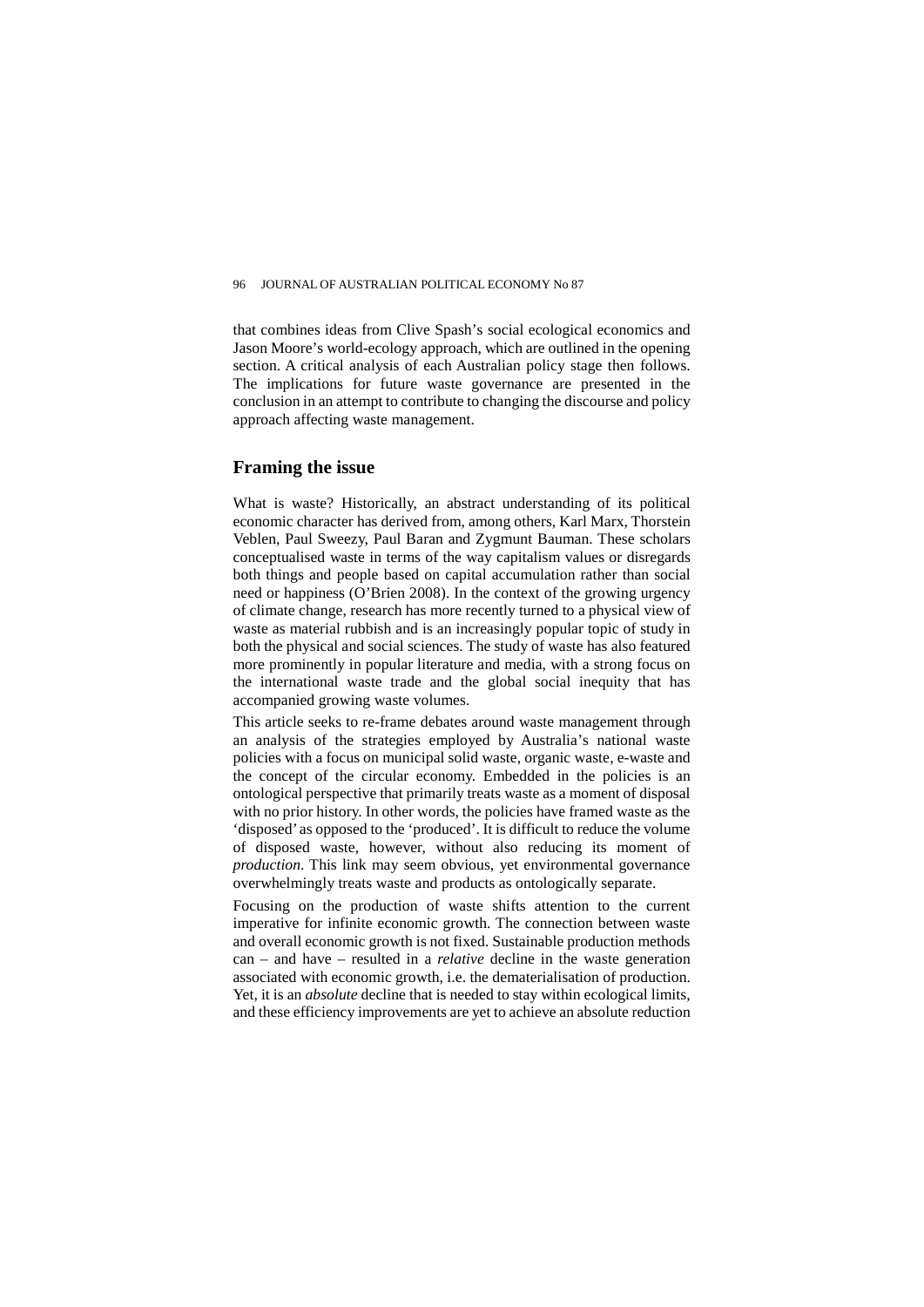that combines ideas from Clive Spash's social ecological economics and Jason Moore's world-ecology approach, which are outlined in the opening section. A critical analysis of each Australian policy stage then follows. The implications for future waste governance are presented in the conclusion in an attempt to contribute to changing the discourse and policy approach affecting waste management.

## **Framing the issue**

What is waste? Historically, an abstract understanding of its political economic character has derived from, among others, Karl Marx, Thorstein Veblen, Paul Sweezy, Paul Baran and Zygmunt Bauman. These scholars conceptualised waste in terms of the way capitalism values or disregards both things and people based on capital accumulation rather than social need or happiness (O'Brien 2008). In the context of the growing urgency of climate change, research has more recently turned to a physical view of waste as material rubbish and is an increasingly popular topic of study in both the physical and social sciences. The study of waste has also featured more prominently in popular literature and media, with a strong focus on the international waste trade and the global social inequity that has accompanied growing waste volumes.

This article seeks to re-frame debates around waste management through an analysis of the strategies employed by Australia's national waste policies with a focus on municipal solid waste, organic waste, e-waste and the concept of the circular economy. Embedded in the policies is an ontological perspective that primarily treats waste as a moment of disposal with no prior history. In other words, the policies have framed waste as the 'disposed' as opposed to the 'produced'. It is difficult to reduce the volume of disposed waste, however, without also reducing its moment of *production*. This link may seem obvious, yet environmental governance overwhelmingly treats waste and products as ontologically separate.

Focusing on the production of waste shifts attention to the current imperative for infinite economic growth. The connection between waste and overall economic growth is not fixed. Sustainable production methods can – and have – resulted in a *relative* decline in the waste generation associated with economic growth, i.e. the dematerialisation of production. Yet, it is an *absolute* decline that is needed to stay within ecological limits, and these efficiency improvements are yet to achieve an absolute reduction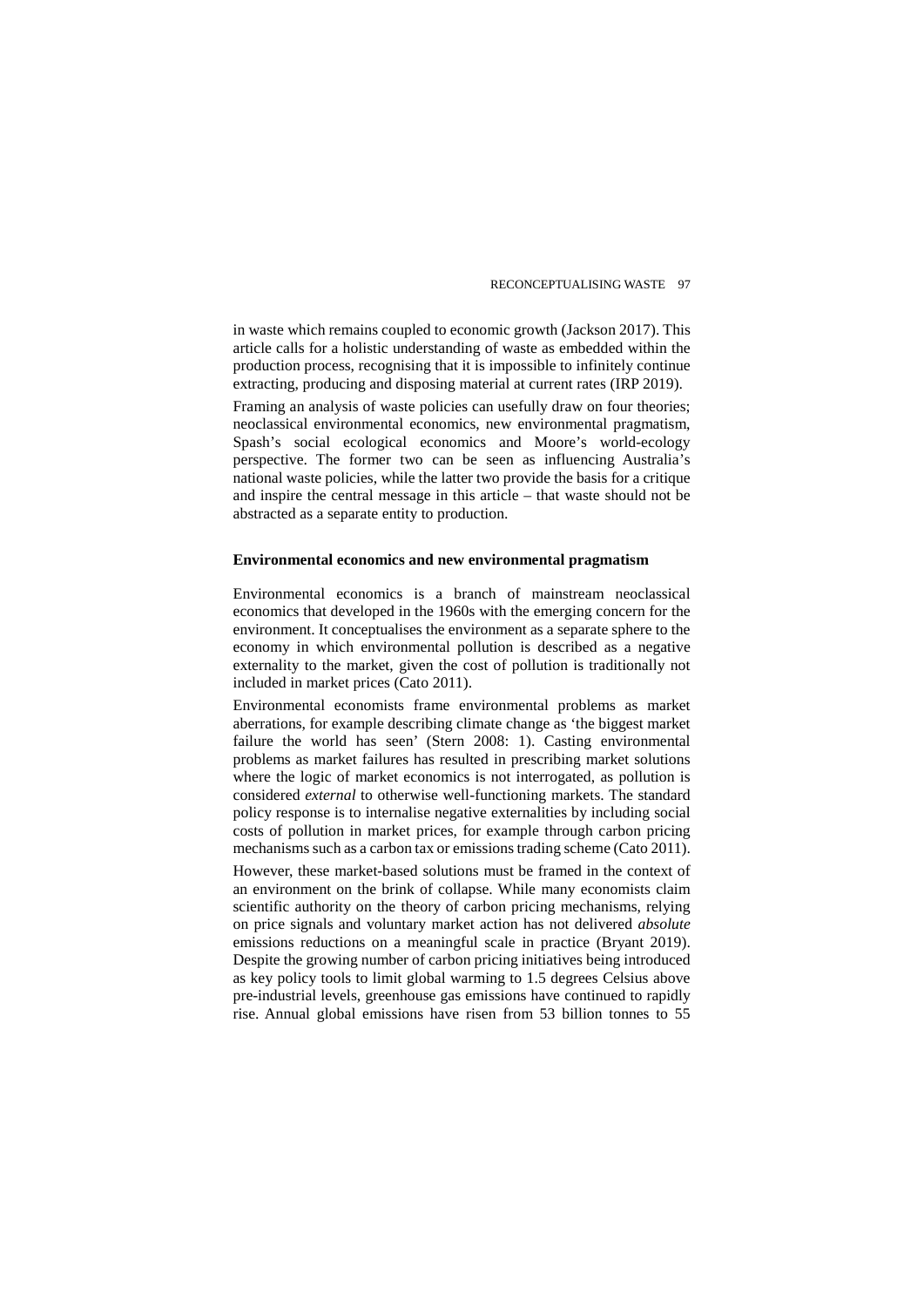in waste which remains coupled to economic growth (Jackson 2017). This article calls for a holistic understanding of waste as embedded within the production process, recognising that it is impossible to infinitely continue extracting, producing and disposing material at current rates (IRP 2019).

Framing an analysis of waste policies can usefully draw on four theories; neoclassical environmental economics, new environmental pragmatism, Spash's social ecological economics and Moore's world-ecology perspective. The former two can be seen as influencing Australia's national waste policies, while the latter two provide the basis for a critique and inspire the central message in this article – that waste should not be abstracted as a separate entity to production.

#### **Environmental economics and new environmental pragmatism**

Environmental economics is a branch of mainstream neoclassical economics that developed in the 1960s with the emerging concern for the environment. It conceptualises the environment as a separate sphere to the economy in which environmental pollution is described as a negative externality to the market, given the cost of pollution is traditionally not included in market prices (Cato 2011).

Environmental economists frame environmental problems as market aberrations, for example describing climate change as 'the biggest market failure the world has seen' (Stern 2008: 1). Casting environmental problems as market failures has resulted in prescribing market solutions where the logic of market economics is not interrogated, as pollution is considered *external* to otherwise well-functioning markets. The standard policy response is to internalise negative externalities by including social costs of pollution in market prices, for example through carbon pricing mechanisms such as a carbon tax or emissions trading scheme (Cato 2011).

However, these market-based solutions must be framed in the context of an environment on the brink of collapse. While many economists claim scientific authority on the theory of carbon pricing mechanisms, relying on price signals and voluntary market action has not delivered *absolute* emissions reductions on a meaningful scale in practice (Bryant 2019). Despite the growing number of carbon pricing initiatives being introduced as key policy tools to limit global warming to 1.5 degrees Celsius above pre-industrial levels, greenhouse gas emissions have continued to rapidly rise. Annual global emissions have risen from 53 billion tonnes to 55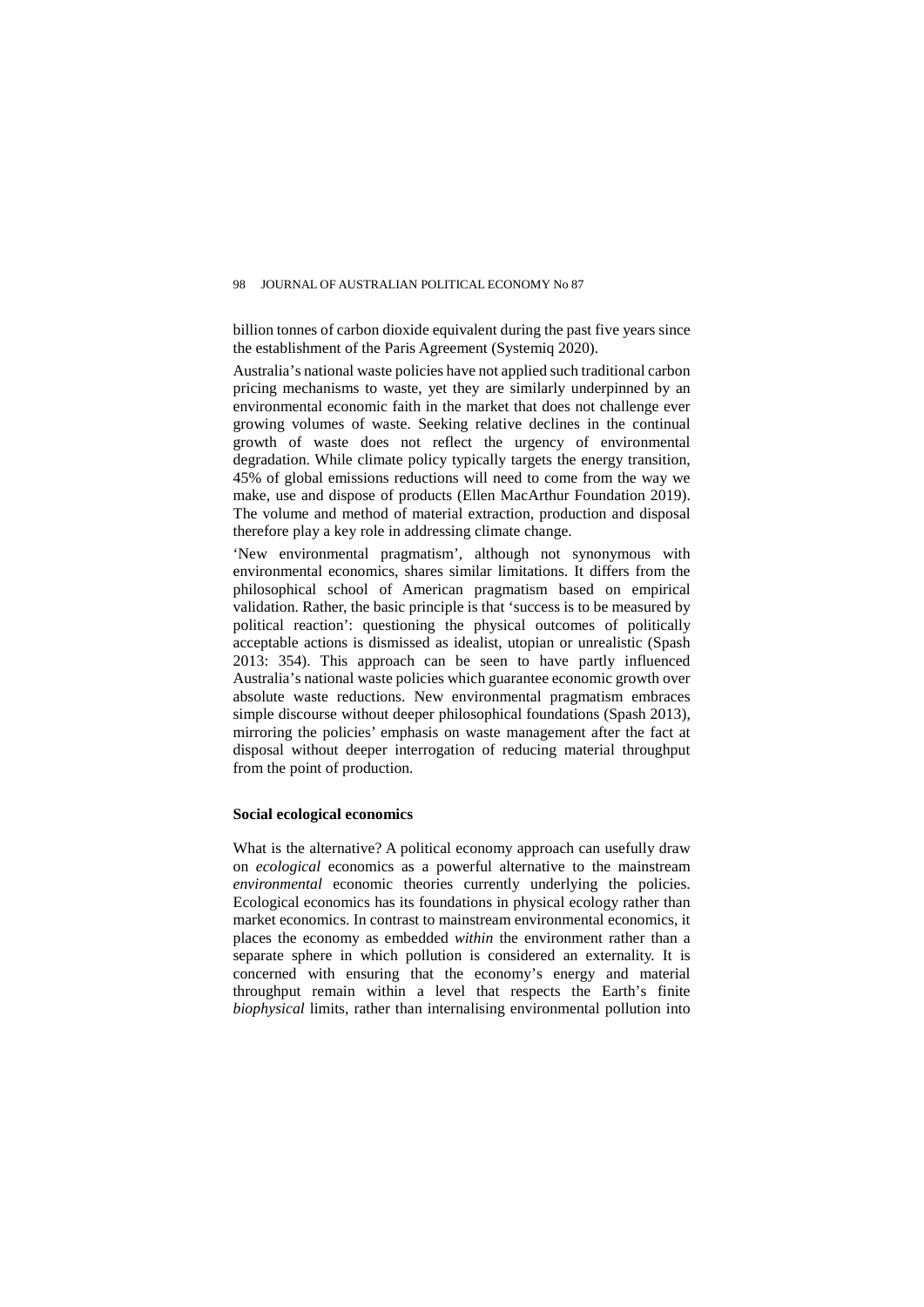billion tonnes of carbon dioxide equivalent during the past five years since the establishment of the Paris Agreement (Systemiq 2020).

Australia's national waste policies have not applied such traditional carbon pricing mechanisms to waste, yet they are similarly underpinned by an environmental economic faith in the market that does not challenge ever growing volumes of waste. Seeking relative declines in the continual growth of waste does not reflect the urgency of environmental degradation. While climate policy typically targets the energy transition, 45% of global emissions reductions will need to come from the way we make, use and dispose of products (Ellen MacArthur Foundation 2019). The volume and method of material extraction, production and disposal therefore play a key role in addressing climate change.

'New environmental pragmatism', although not synonymous with environmental economics, shares similar limitations. It differs from the philosophical school of American pragmatism based on empirical validation. Rather, the basic principle is that 'success is to be measured by political reaction': questioning the physical outcomes of politically acceptable actions is dismissed as idealist, utopian or unrealistic (Spash 2013: 354). This approach can be seen to have partly influenced Australia's national waste policies which guarantee economic growth over absolute waste reductions. New environmental pragmatism embraces simple discourse without deeper philosophical foundations (Spash 2013), mirroring the policies' emphasis on waste management after the fact at disposal without deeper interrogation of reducing material throughput from the point of production.

#### **Social ecological economics**

What is the alternative? A political economy approach can usefully draw on *ecological* economics as a powerful alternative to the mainstream *environmental* economic theories currently underlying the policies. Ecological economics has its foundations in physical ecology rather than market economics. In contrast to mainstream environmental economics, it places the economy as embedded *within* the environment rather than a separate sphere in which pollution is considered an externality. It is concerned with ensuring that the economy's energy and material throughput remain within a level that respects the Earth's finite *biophysical* limits, rather than internalising environmental pollution into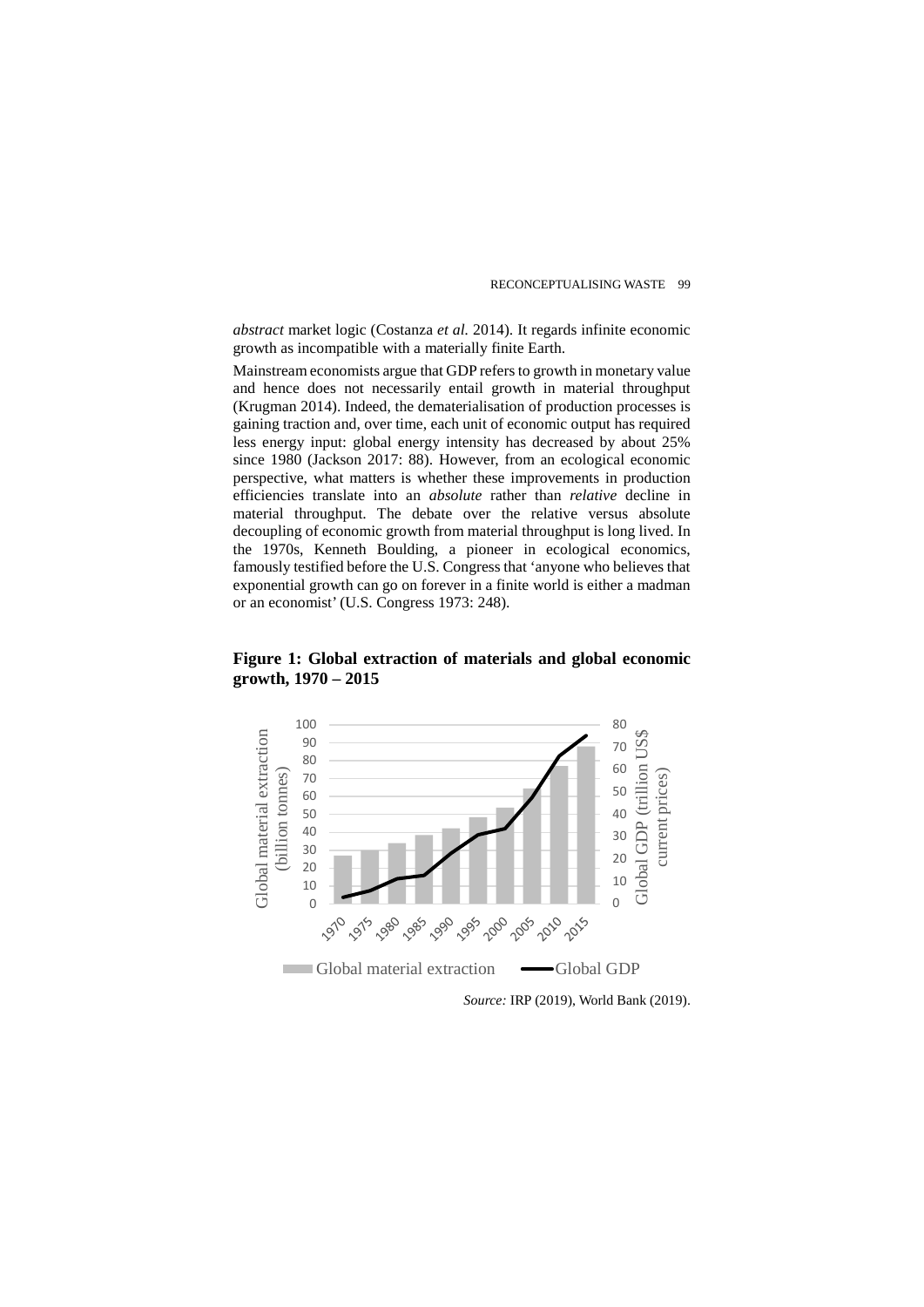*abstract* market logic (Costanza *et al.* 2014). It regards infinite economic growth as incompatible with a materially finite Earth.

Mainstream economists argue that GDP refers to growth in monetary value and hence does not necessarily entail growth in material throughput (Krugman 2014). Indeed, the dematerialisation of production processes is gaining traction and, over time, each unit of economic output has required less energy input: global energy intensity has decreased by about 25% since 1980 (Jackson 2017: 88). However, from an ecological economic perspective, what matters is whether these improvements in production efficiencies translate into an *absolute* rather than *relative* decline in material throughput. The debate over the relative versus absolute decoupling of economic growth from material throughput is long lived. In the 1970s, Kenneth Boulding, a pioneer in ecological economics, famously testified before the U.S. Congress that 'anyone who believes that exponential growth can go on forever in a finite world is either a madman or an economist' (U.S. Congress 1973: 248).



**Figure 1: Global extraction of materials and global economic growth, 1970 – 2015**

*Source:* IRP (2019), World Bank (2019).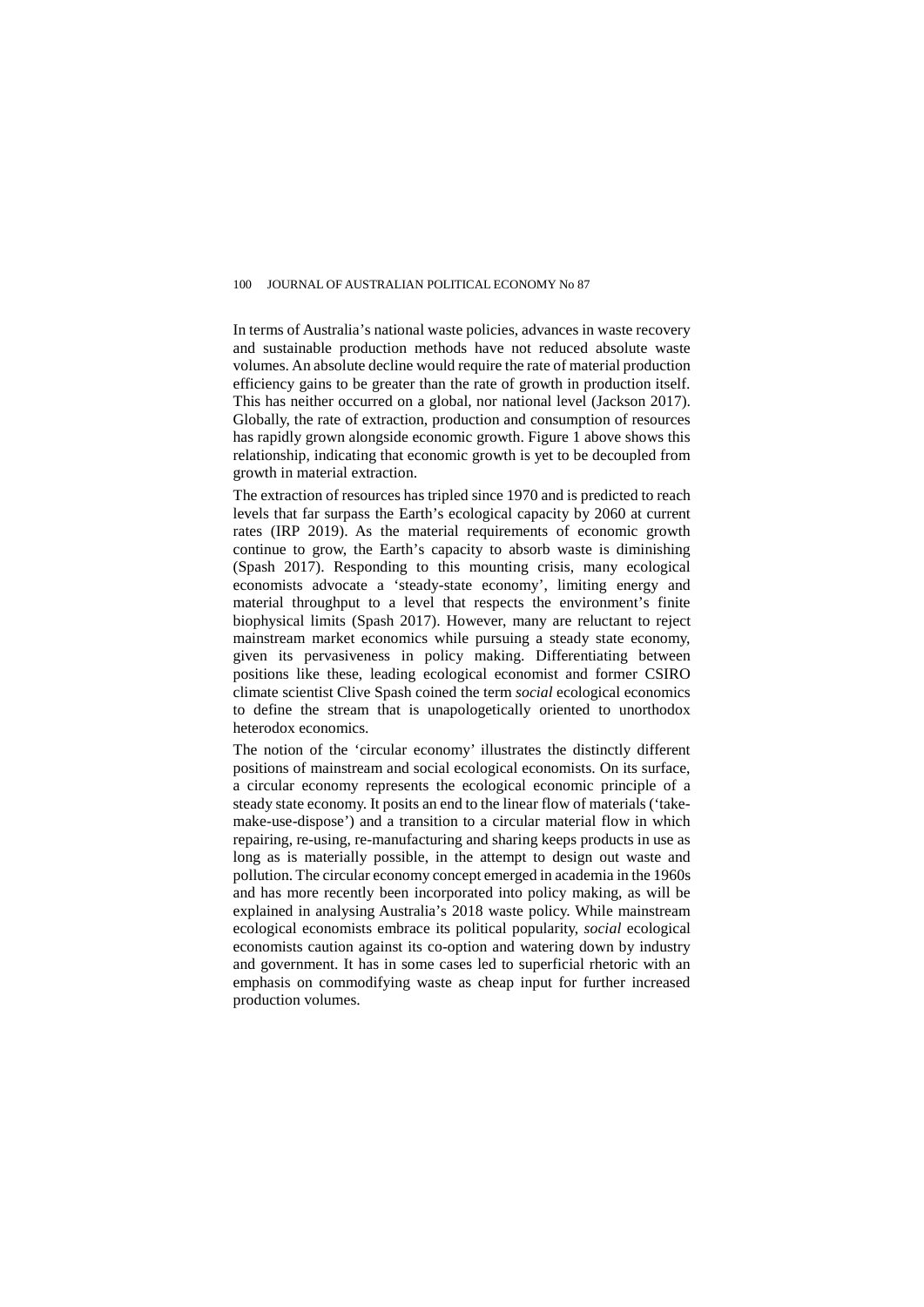In terms of Australia's national waste policies, advances in waste recovery and sustainable production methods have not reduced absolute waste volumes. An absolute decline would require the rate of material production efficiency gains to be greater than the rate of growth in production itself. This has neither occurred on a global, nor national level (Jackson 2017). Globally, the rate of extraction, production and consumption of resources has rapidly grown alongside economic growth. Figure 1 above shows this relationship, indicating that economic growth is yet to be decoupled from growth in material extraction.

The extraction of resources has tripled since 1970 and is predicted to reach levels that far surpass the Earth's ecological capacity by 2060 at current rates (IRP 2019). As the material requirements of economic growth continue to grow, the Earth's capacity to absorb waste is diminishing (Spash 2017). Responding to this mounting crisis, many ecological economists advocate a 'steady-state economy', limiting energy and material throughput to a level that respects the environment's finite biophysical limits (Spash 2017). However, many are reluctant to reject mainstream market economics while pursuing a steady state economy, given its pervasiveness in policy making. Differentiating between positions like these, leading ecological economist and former CSIRO climate scientist Clive Spash coined the term *social* ecological economics to define the stream that is unapologetically oriented to unorthodox heterodox economics.

The notion of the 'circular economy' illustrates the distinctly different positions of mainstream and social ecological economists. On its surface, a circular economy represents the ecological economic principle of a steady state economy. It posits an end to the linear flow of materials ('takemake-use-dispose') and a transition to a circular material flow in which repairing, re-using, re-manufacturing and sharing keeps products in use as long as is materially possible, in the attempt to design out waste and pollution. The circular economy concept emerged in academia in the 1960s and has more recently been incorporated into policy making, as will be explained in analysing Australia's 2018 waste policy. While mainstream ecological economists embrace its political popularity, *social* ecological economists caution against its co-option and watering down by industry and government. It has in some cases led to superficial rhetoric with an emphasis on commodifying waste as cheap input for further increased production volumes.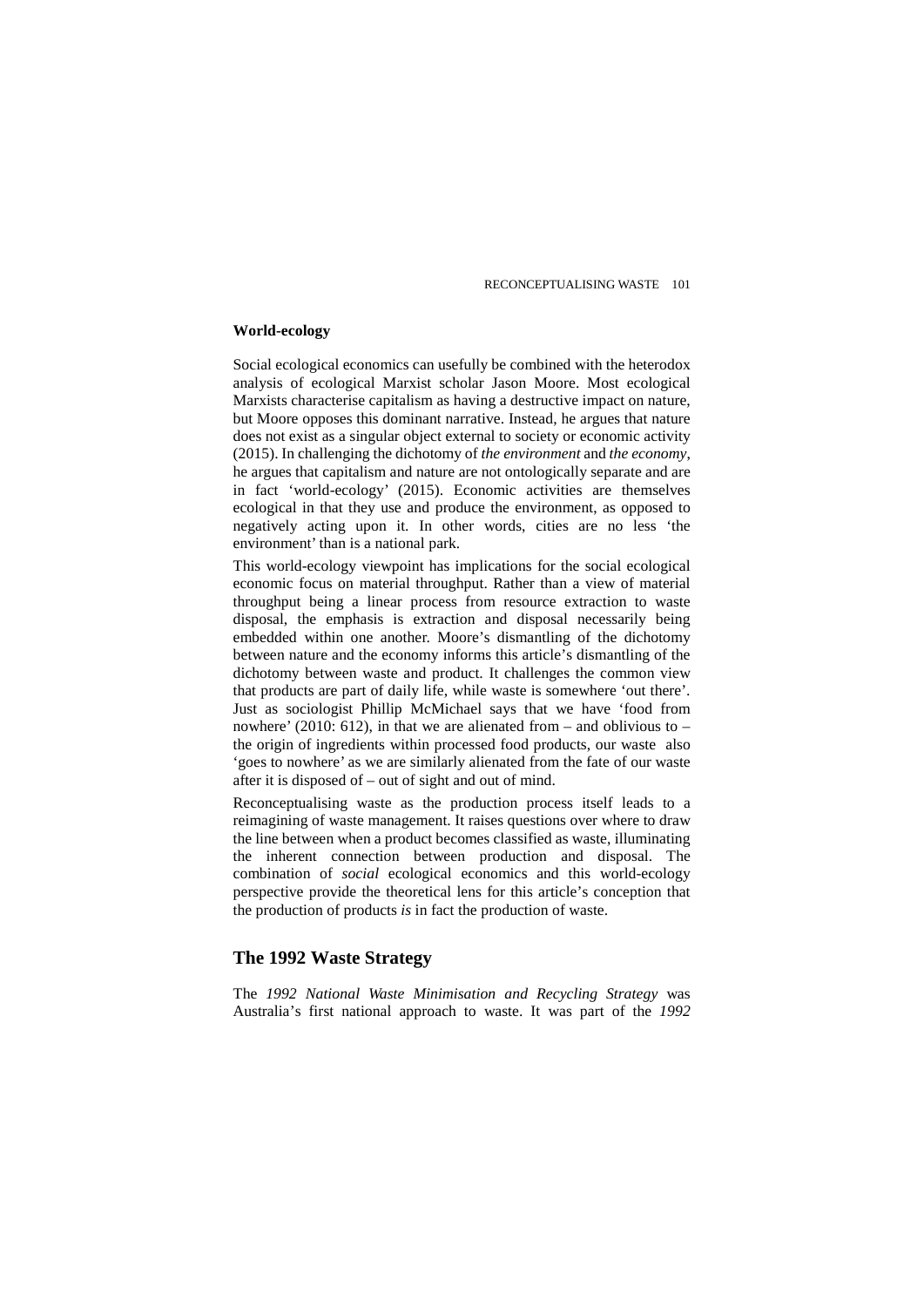#### **World-ecology**

Social ecological economics can usefully be combined with the heterodox analysis of ecological Marxist scholar Jason Moore. Most ecological Marxists characterise capitalism as having a destructive impact on nature, but Moore opposes this dominant narrative. Instead, he argues that nature does not exist as a singular object external to society or economic activity (2015). In challenging the dichotomy of *the environment* and *the economy*, he argues that capitalism and nature are not ontologically separate and are in fact 'world-ecology' (2015). Economic activities are themselves ecological in that they use and produce the environment, as opposed to negatively acting upon it. In other words, cities are no less 'the environment' than is a national park.

This world-ecology viewpoint has implications for the social ecological economic focus on material throughput. Rather than a view of material throughput being a linear process from resource extraction to waste disposal, the emphasis is extraction and disposal necessarily being embedded within one another. Moore's dismantling of the dichotomy between nature and the economy informs this article's dismantling of the dichotomy between waste and product. It challenges the common view that products are part of daily life, while waste is somewhere 'out there'. Just as sociologist Phillip McMichael says that we have 'food from nowhere' (2010: 612), in that we are alienated from  $-$  and oblivious to  $$ the origin of ingredients within processed food products, our waste also 'goes to nowhere' as we are similarly alienated from the fate of our waste after it is disposed of – out of sight and out of mind.

Reconceptualising waste as the production process itself leads to a reimagining of waste management. It raises questions over where to draw the line between when a product becomes classified as waste, illuminating the inherent connection between production and disposal. The combination of *social* ecological economics and this world-ecology perspective provide the theoretical lens for this article's conception that the production of products *is* in fact the production of waste.

# **The 1992 Waste Strategy**

The *1992 National Waste Minimisation and Recycling Strategy* was Australia's first national approach to waste. It was part of the *1992*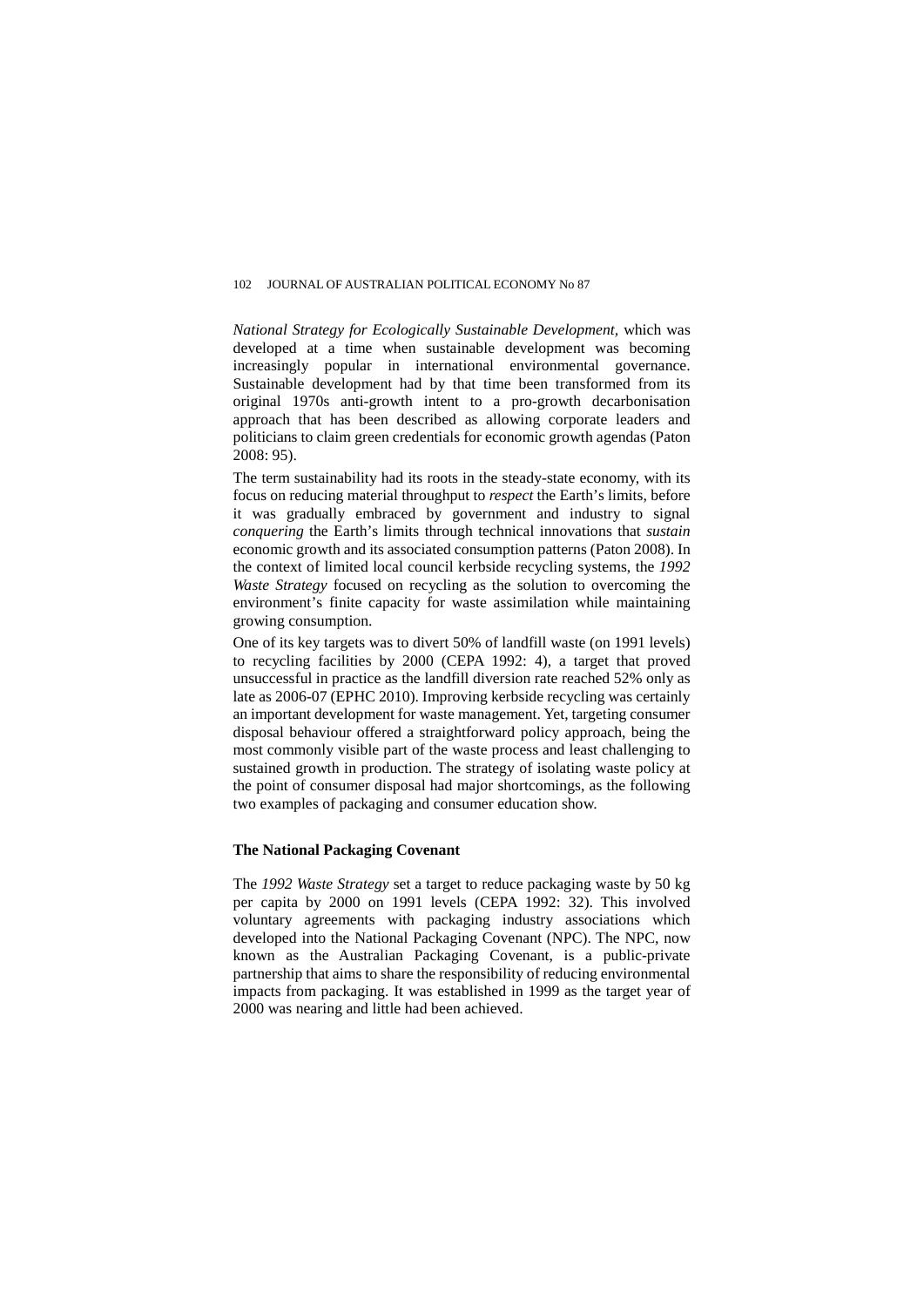*National Strategy for Ecologically Sustainable Development,* which was developed at a time when sustainable development was becoming increasingly popular in international environmental governance. Sustainable development had by that time been transformed from its original 1970s anti-growth intent to a pro-growth decarbonisation approach that has been described as allowing corporate leaders and politicians to claim green credentials for economic growth agendas (Paton 2008: 95).

The term sustainability had its roots in the steady-state economy, with its focus on reducing material throughput to *respect* the Earth's limits, before it was gradually embraced by government and industry to signal *conquering* the Earth's limits through technical innovations that *sustain* economic growth and its associated consumption patterns (Paton 2008). In the context of limited local council kerbside recycling systems, the *1992 Waste Strategy* focused on recycling as the solution to overcoming the environment's finite capacity for waste assimilation while maintaining growing consumption.

One of its key targets was to divert 50% of landfill waste (on 1991 levels) to recycling facilities by 2000 (CEPA 1992: 4), a target that proved unsuccessful in practice as the landfill diversion rate reached 52% only as late as 2006-07 (EPHC 2010). Improving kerbside recycling was certainly an important development for waste management. Yet, targeting consumer disposal behaviour offered a straightforward policy approach, being the most commonly visible part of the waste process and least challenging to sustained growth in production. The strategy of isolating waste policy at the point of consumer disposal had major shortcomings, as the following two examples of packaging and consumer education show.

#### **The National Packaging Covenant**

The *1992 Waste Strategy* set a target to reduce packaging waste by 50 kg per capita by 2000 on 1991 levels (CEPA 1992: 32). This involved voluntary agreements with packaging industry associations which developed into the National Packaging Covenant (NPC). The NPC, now known as the Australian Packaging Covenant, is a public-private partnership that aims to share the responsibility of reducing environmental impacts from packaging. It was established in 1999 as the target year of 2000 was nearing and little had been achieved.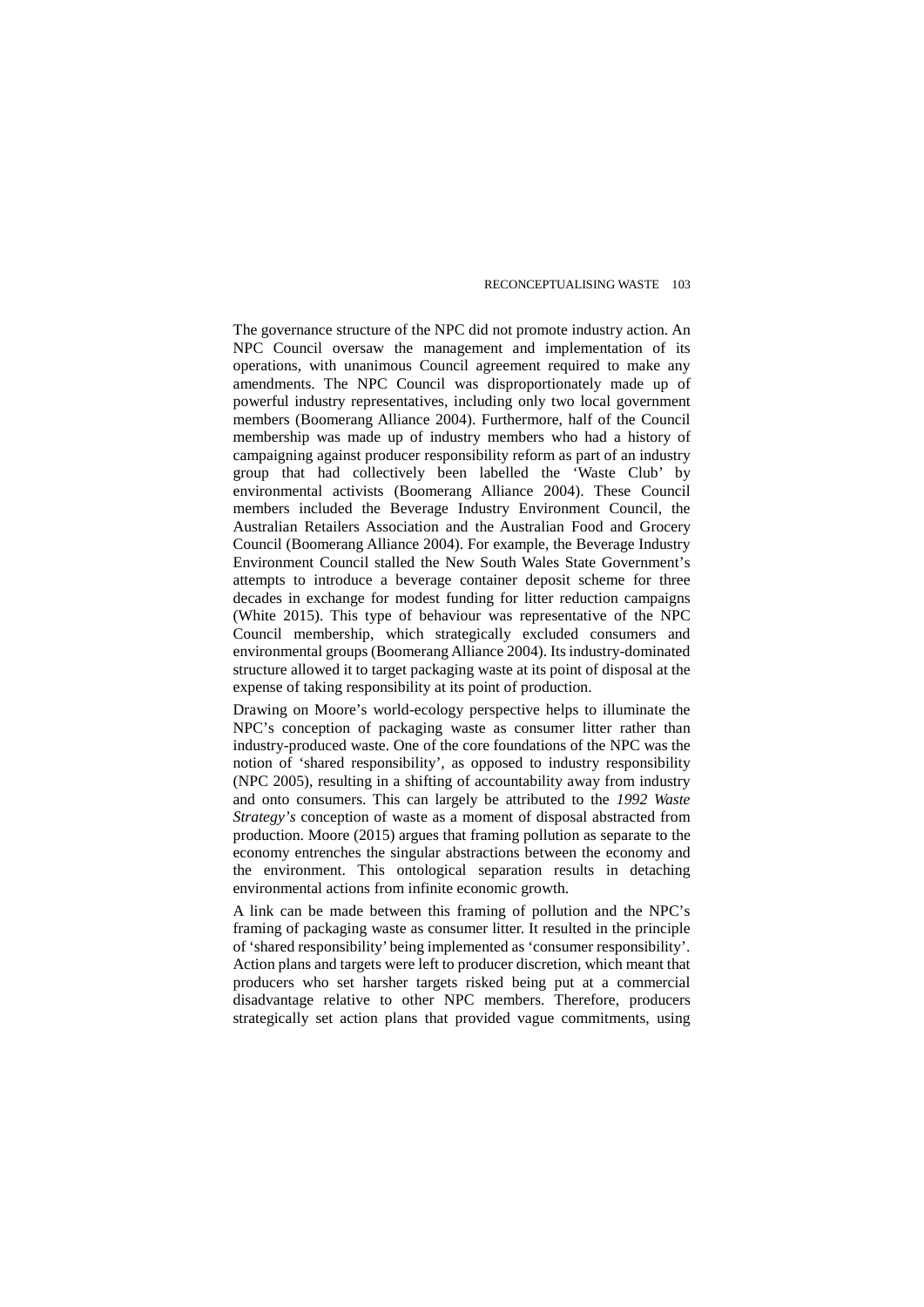The governance structure of the NPC did not promote industry action. An NPC Council oversaw the management and implementation of its operations, with unanimous Council agreement required to make any amendments. The NPC Council was disproportionately made up of powerful industry representatives, including only two local government members (Boomerang Alliance 2004). Furthermore, half of the Council membership was made up of industry members who had a history of campaigning against producer responsibility reform as part of an industry group that had collectively been labelled the 'Waste Club' by environmental activists (Boomerang Alliance 2004). These Council members included the Beverage Industry Environment Council, the Australian Retailers Association and the Australian Food and Grocery Council (Boomerang Alliance 2004). For example, the Beverage Industry Environment Council stalled the New South Wales State Government's attempts to introduce a beverage container deposit scheme for three decades in exchange for modest funding for litter reduction campaigns (White 2015). This type of behaviour was representative of the NPC Council membership, which strategically excluded consumers and environmental groups (Boomerang Alliance 2004). Its industry-dominated structure allowed it to target packaging waste at its point of disposal at the expense of taking responsibility at its point of production.

Drawing on Moore's world-ecology perspective helps to illuminate the NPC's conception of packaging waste as consumer litter rather than industry-produced waste. One of the core foundations of the NPC was the notion of 'shared responsibility', as opposed to industry responsibility (NPC 2005), resulting in a shifting of accountability away from industry and onto consumers. This can largely be attributed to the *1992 Waste Strategy's* conception of waste as a moment of disposal abstracted from production. Moore (2015) argues that framing pollution as separate to the economy entrenches the singular abstractions between the economy and the environment. This ontological separation results in detaching environmental actions from infinite economic growth.

A link can be made between this framing of pollution and the NPC's framing of packaging waste as consumer litter. It resulted in the principle of 'shared responsibility' being implemented as 'consumer responsibility'. Action plans and targets were left to producer discretion, which meant that producers who set harsher targets risked being put at a commercial disadvantage relative to other NPC members. Therefore, producers strategically set action plans that provided vague commitments, using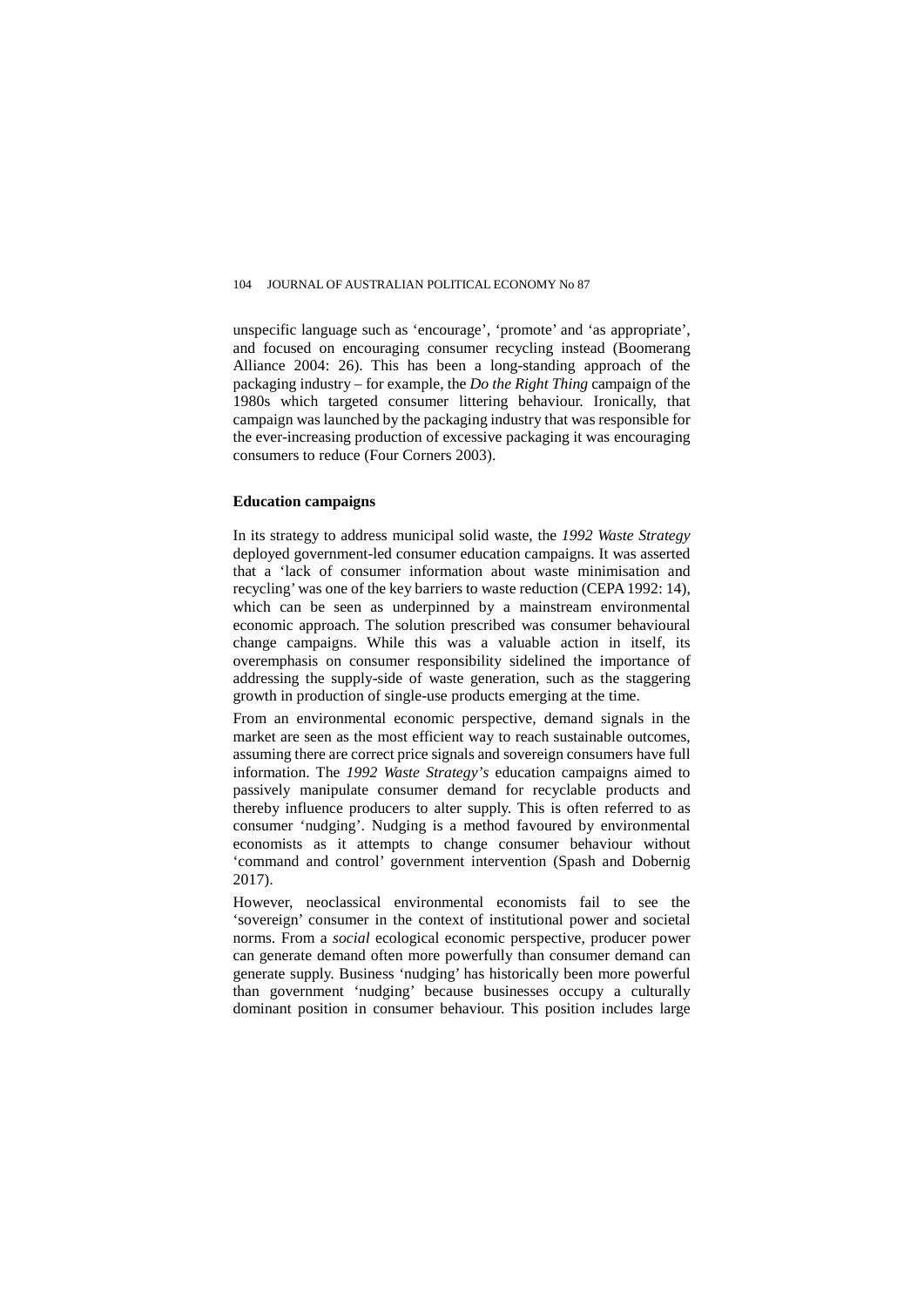unspecific language such as 'encourage', 'promote' and 'as appropriate', and focused on encouraging consumer recycling instead (Boomerang Alliance 2004: 26). This has been a long-standing approach of the packaging industry – for example, the *Do the Right Thing* campaign of the 1980s which targeted consumer littering behaviour. Ironically, that campaign was launched by the packaging industry that was responsible for the ever-increasing production of excessive packaging it was encouraging consumers to reduce (Four Corners 2003).

### **Education campaigns**

In its strategy to address municipal solid waste, the *1992 Waste Strategy* deployed government-led consumer education campaigns. It was asserted that a 'lack of consumer information about waste minimisation and recycling' was one of the key barriers to waste reduction (CEPA 1992: 14), which can be seen as underpinned by a mainstream environmental economic approach. The solution prescribed was consumer behavioural change campaigns. While this was a valuable action in itself, its overemphasis on consumer responsibility sidelined the importance of addressing the supply-side of waste generation, such as the staggering growth in production of single-use products emerging at the time.

From an environmental economic perspective, demand signals in the market are seen as the most efficient way to reach sustainable outcomes, assuming there are correct price signals and sovereign consumers have full information. The *1992 Waste Strategy's* education campaigns aimed to passively manipulate consumer demand for recyclable products and thereby influence producers to alter supply. This is often referred to as consumer 'nudging'. Nudging is a method favoured by environmental economists as it attempts to change consumer behaviour without 'command and control' government intervention (Spash and Dobernig 2017).

However, neoclassical environmental economists fail to see the 'sovereign' consumer in the context of institutional power and societal norms. From a *social* ecological economic perspective, producer power can generate demand often more powerfully than consumer demand can generate supply. Business 'nudging' has historically been more powerful than government 'nudging' because businesses occupy a culturally dominant position in consumer behaviour. This position includes large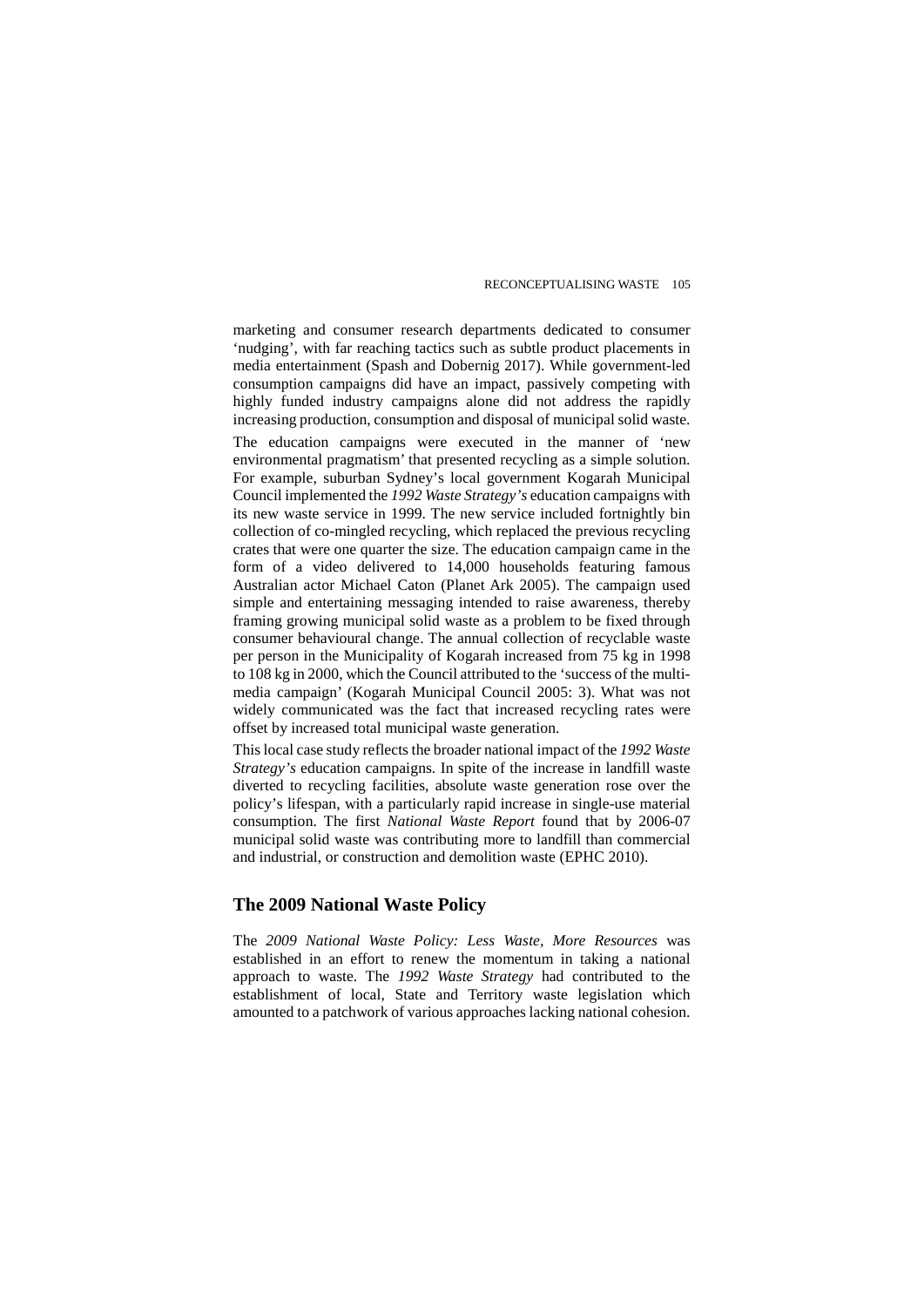marketing and consumer research departments dedicated to consumer 'nudging', with far reaching tactics such as subtle product placements in media entertainment (Spash and Dobernig 2017). While government-led consumption campaigns did have an impact, passively competing with highly funded industry campaigns alone did not address the rapidly increasing production, consumption and disposal of municipal solid waste. The education campaigns were executed in the manner of 'new environmental pragmatism' that presented recycling as a simple solution. For example, suburban Sydney's local government Kogarah Municipal Council implemented the *1992 Waste Strategy's* education campaigns with its new waste service in 1999. The new service included fortnightly bin collection of co-mingled recycling, which replaced the previous recycling crates that were one quarter the size. The education campaign came in the form of a video delivered to 14,000 households featuring famous Australian actor Michael Caton (Planet Ark 2005). The campaign used simple and entertaining messaging intended to raise awareness, thereby framing growing municipal solid waste as a problem to be fixed through consumer behavioural change. The annual collection of recyclable waste per person in the Municipality of Kogarah increased from 75 kg in 1998 to 108 kg in 2000, which the Council attributed to the 'success of the multimedia campaign' (Kogarah Municipal Council 2005: 3). What was not widely communicated was the fact that increased recycling rates were offset by increased total municipal waste generation.

This local case study reflects the broader national impact of the *1992 Waste Strategy's* education campaigns. In spite of the increase in landfill waste diverted to recycling facilities, absolute waste generation rose over the policy's lifespan, with a particularly rapid increase in single-use material consumption. The first *National Waste Report* found that by 2006-07 municipal solid waste was contributing more to landfill than commercial and industrial, or construction and demolition waste (EPHC 2010).

#### **The 2009 National Waste Policy**

The *2009 National Waste Policy: Less Waste, More Resources* was established in an effort to renew the momentum in taking a national approach to waste. The *1992 Waste Strategy* had contributed to the establishment of local, State and Territory waste legislation which amounted to a patchwork of various approaches lacking national cohesion.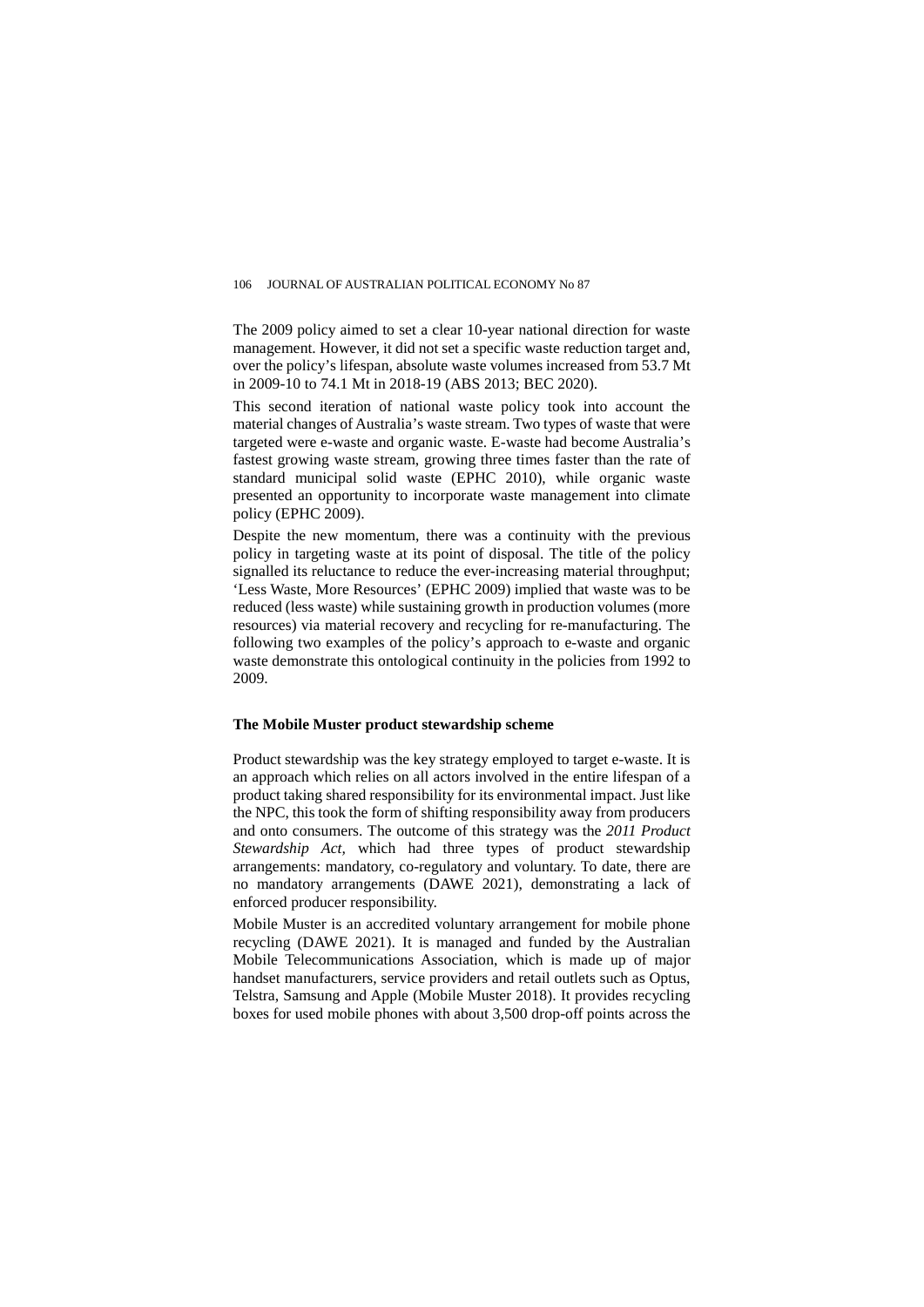The 2009 policy aimed to set a clear 10-year national direction for waste management. However, it did not set a specific waste reduction target and, over the policy's lifespan, absolute waste volumes increased from 53.7 Mt in 2009-10 to 74.1 Mt in 2018-19 (ABS 2013; BEC 2020).

This second iteration of national waste policy took into account the material changes of Australia's waste stream. Two types of waste that were targeted were e-waste and organic waste. E-waste had become Australia's fastest growing waste stream, growing three times faster than the rate of standard municipal solid waste (EPHC 2010), while organic waste presented an opportunity to incorporate waste management into climate policy (EPHC 2009).

Despite the new momentum, there was a continuity with the previous policy in targeting waste at its point of disposal. The title of the policy signalled its reluctance to reduce the ever-increasing material throughput; 'Less Waste, More Resources' (EPHC 2009) implied that waste was to be reduced (less waste) while sustaining growth in production volumes (more resources) via material recovery and recycling for re-manufacturing. The following two examples of the policy's approach to e-waste and organic waste demonstrate this ontological continuity in the policies from 1992 to 2009.

#### **The Mobile Muster product stewardship scheme**

Product stewardship was the key strategy employed to target e-waste. It is an approach which relies on all actors involved in the entire lifespan of a product taking shared responsibility for its environmental impact. Just like the NPC, this took the form of shifting responsibility away from producers and onto consumers. The outcome of this strategy was the *2011 Product Stewardship Act,* which had three types of product stewardship arrangements: mandatory, co-regulatory and voluntary. To date, there are no mandatory arrangements (DAWE 2021), demonstrating a lack of enforced producer responsibility.

Mobile Muster is an accredited voluntary arrangement for mobile phone recycling (DAWE 2021). It is managed and funded by the Australian Mobile Telecommunications Association, which is made up of major handset manufacturers, service providers and retail outlets such as Optus, Telstra, Samsung and Apple (Mobile Muster 2018). It provides recycling boxes for used mobile phones with about 3,500 drop-off points across the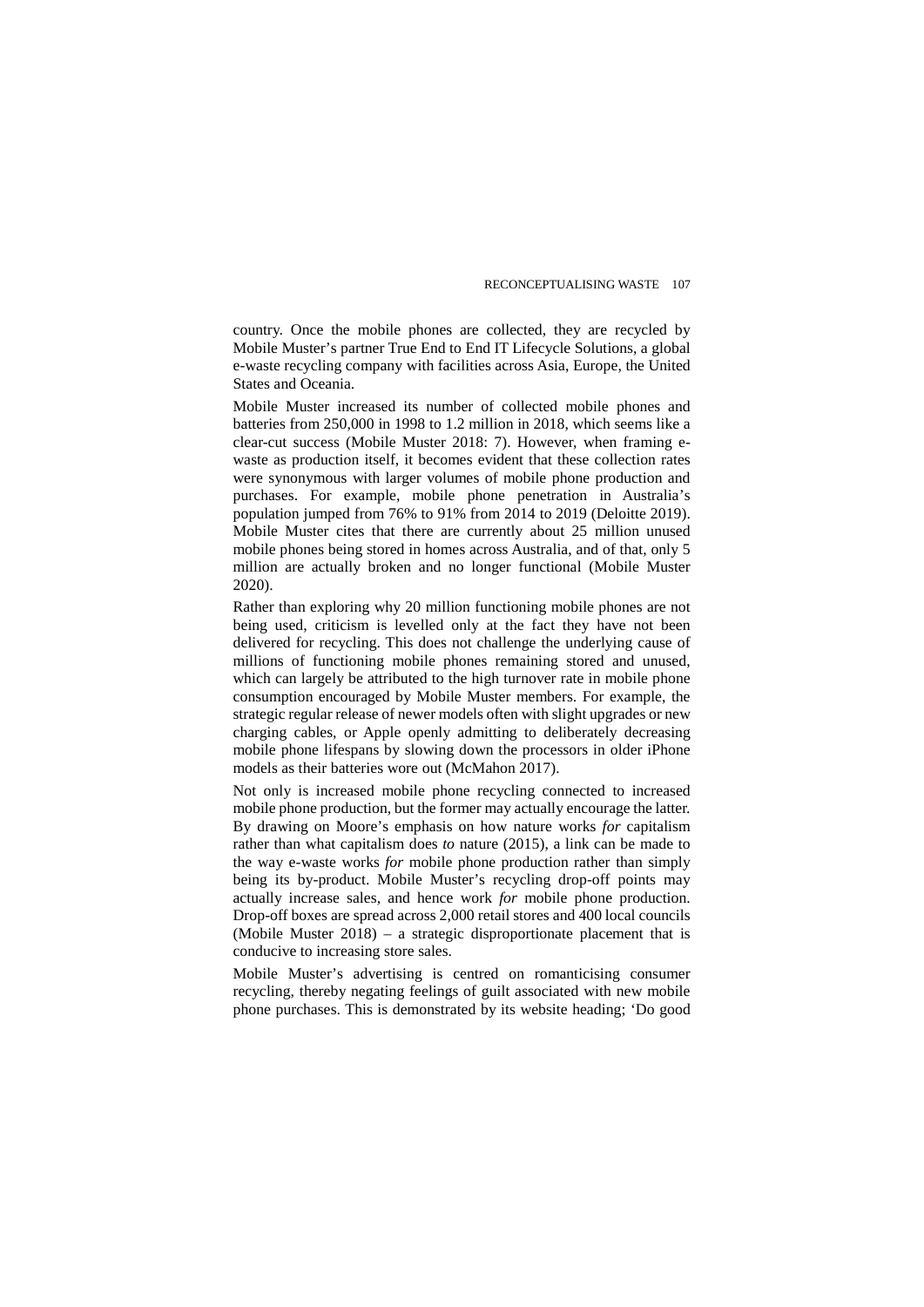country. Once the mobile phones are collected, they are recycled by Mobile Muster's partner True End to End IT Lifecycle Solutions, a global e-waste recycling company with facilities across Asia, Europe, the United States and Oceania.

Mobile Muster increased its number of collected mobile phones and batteries from 250,000 in 1998 to 1.2 million in 2018, which seems like a clear-cut success (Mobile Muster 2018: 7). However, when framing ewaste as production itself, it becomes evident that these collection rates were synonymous with larger volumes of mobile phone production and purchases. For example, mobile phone penetration in Australia's population jumped from 76% to 91% from 2014 to 2019 (Deloitte 2019). Mobile Muster cites that there are currently about 25 million unused mobile phones being stored in homes across Australia, and of that, only 5 million are actually broken and no longer functional (Mobile Muster 2020).

Rather than exploring why 20 million functioning mobile phones are not being used, criticism is levelled only at the fact they have not been delivered for recycling. This does not challenge the underlying cause of millions of functioning mobile phones remaining stored and unused, which can largely be attributed to the high turnover rate in mobile phone consumption encouraged by Mobile Muster members. For example, the strategic regular release of newer models often with slight upgrades or new charging cables, or Apple openly admitting to deliberately decreasing mobile phone lifespans by slowing down the processors in older iPhone models as their batteries wore out (McMahon 2017).

Not only is increased mobile phone recycling connected to increased mobile phone production, but the former may actually encourage the latter. By drawing on Moore's emphasis on how nature works *for* capitalism rather than what capitalism does *to* nature (2015), a link can be made to the way e-waste works *for* mobile phone production rather than simply being its by-product. Mobile Muster's recycling drop-off points may actually increase sales, and hence work *for* mobile phone production. Drop-off boxes are spread across 2,000 retail stores and 400 local councils (Mobile Muster 2018) – a strategic disproportionate placement that is conducive to increasing store sales.

Mobile Muster's advertising is centred on romanticising consumer recycling, thereby negating feelings of guilt associated with new mobile phone purchases. This is demonstrated by its website heading; 'Do good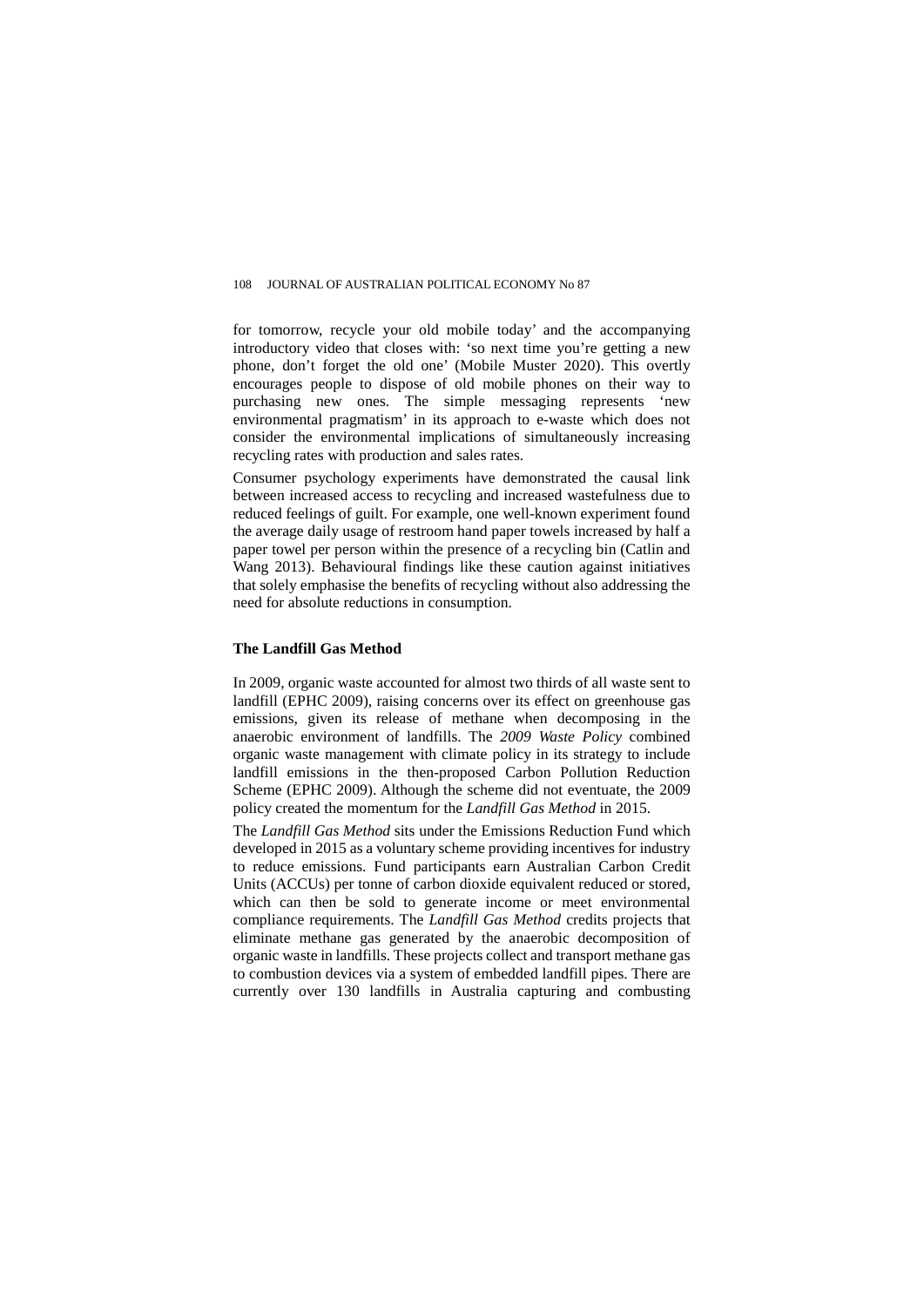for tomorrow, recycle your old mobile today' and the accompanying introductory video that closes with: 'so next time you're getting a new phone, don't forget the old one' (Mobile Muster 2020). This overtly encourages people to dispose of old mobile phones on their way to purchasing new ones. The simple messaging represents 'new environmental pragmatism' in its approach to e-waste which does not consider the environmental implications of simultaneously increasing recycling rates with production and sales rates.

Consumer psychology experiments have demonstrated the causal link between increased access to recycling and increased wastefulness due to reduced feelings of guilt. For example, one well-known experiment found the average daily usage of restroom hand paper towels increased by half a paper towel per person within the presence of a recycling bin (Catlin and Wang 2013). Behavioural findings like these caution against initiatives that solely emphasise the benefits of recycling without also addressing the need for absolute reductions in consumption.

#### **The Landfill Gas Method**

In 2009, organic waste accounted for almost two thirds of all waste sent to landfill (EPHC 2009), raising concerns over its effect on greenhouse gas emissions, given its release of methane when decomposing in the anaerobic environment of landfills. The *2009 Waste Policy* combined organic waste management with climate policy in its strategy to include landfill emissions in the then-proposed Carbon Pollution Reduction Scheme (EPHC 2009). Although the scheme did not eventuate, the 2009 policy created the momentum for the *Landfill Gas Method* in 2015.

The *Landfill Gas Method* sits under the Emissions Reduction Fund which developed in 2015 as a voluntary scheme providing incentives for industry to reduce emissions. Fund participants earn Australian Carbon Credit Units (ACCUs) per tonne of carbon dioxide equivalent reduced or stored, which can then be sold to generate income or meet environmental compliance requirements. The *Landfill Gas Method* credits projects that eliminate methane gas generated by the anaerobic decomposition of organic waste in landfills. These projects collect and transport methane gas to combustion devices via a system of embedded landfill pipes. There are currently over 130 landfills in Australia capturing and combusting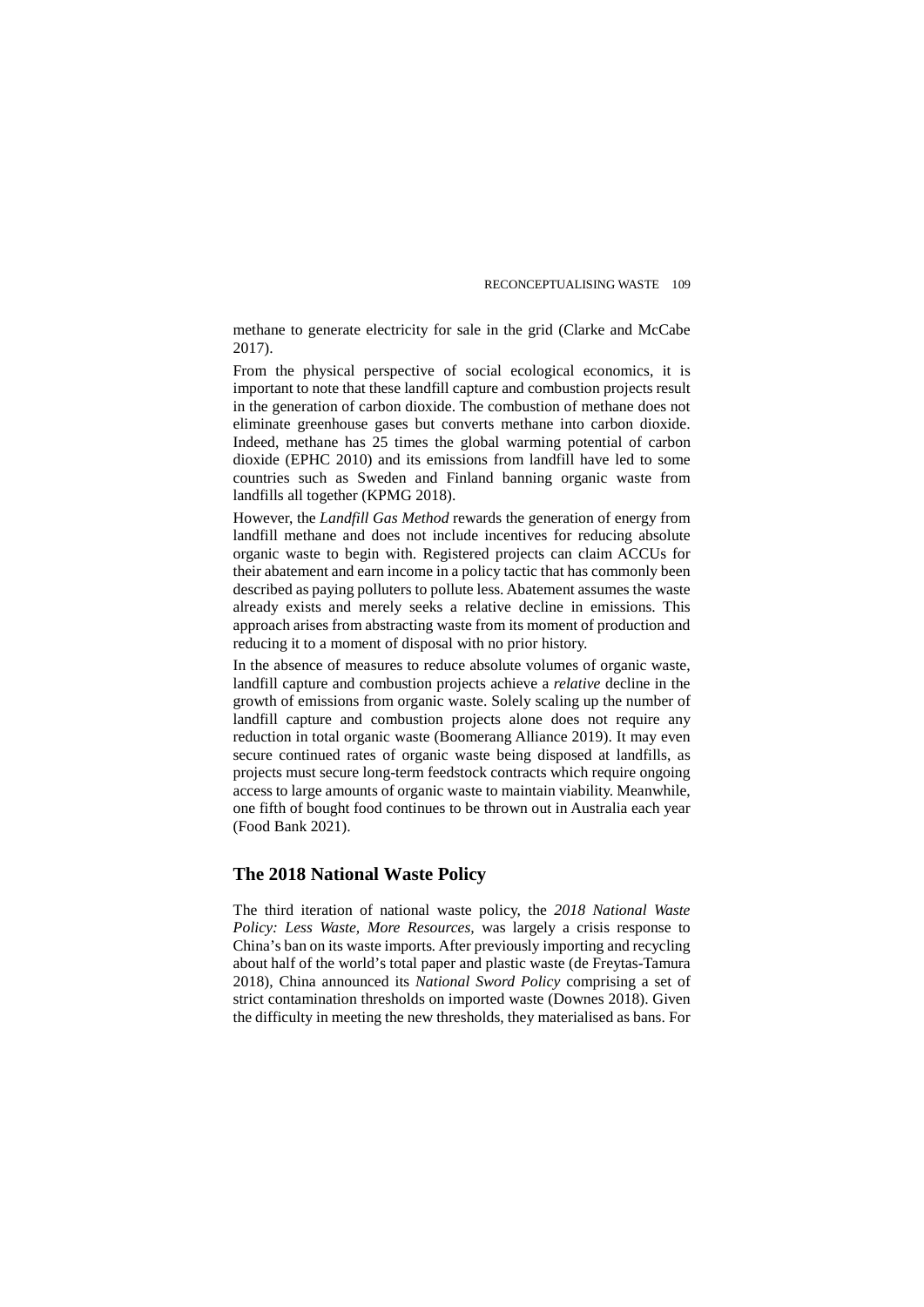methane to generate electricity for sale in the grid (Clarke and McCabe 2017).

From the physical perspective of social ecological economics, it is important to note that these landfill capture and combustion projects result in the generation of carbon dioxide. The combustion of methane does not eliminate greenhouse gases but converts methane into carbon dioxide. Indeed, methane has 25 times the global warming potential of carbon dioxide (EPHC 2010) and its emissions from landfill have led to some countries such as Sweden and Finland banning organic waste from landfills all together (KPMG 2018).

However, the *Landfill Gas Method* rewards the generation of energy from landfill methane and does not include incentives for reducing absolute organic waste to begin with. Registered projects can claim ACCUs for their abatement and earn income in a policy tactic that has commonly been described as paying polluters to pollute less. Abatement assumes the waste already exists and merely seeks a relative decline in emissions. This approach arises from abstracting waste from its moment of production and reducing it to a moment of disposal with no prior history.

In the absence of measures to reduce absolute volumes of organic waste, landfill capture and combustion projects achieve a *relative* decline in the growth of emissions from organic waste. Solely scaling up the number of landfill capture and combustion projects alone does not require any reduction in total organic waste (Boomerang Alliance 2019). It may even secure continued rates of organic waste being disposed at landfills, as projects must secure long-term feedstock contracts which require ongoing access to large amounts of organic waste to maintain viability. Meanwhile, one fifth of bought food continues to be thrown out in Australia each year (Food Bank 2021).

# **The 2018 National Waste Policy**

The third iteration of national waste policy, the *2018 National Waste Policy: Less Waste, More Resources,* was largely a crisis response to China's ban on its waste imports*.* After previously importing and recycling about half of the world's total paper and plastic waste (de Freytas-Tamura 2018), China announced its *National Sword Policy* comprising a set of strict contamination thresholds on imported waste (Downes 2018). Given the difficulty in meeting the new thresholds, they materialised as bans. For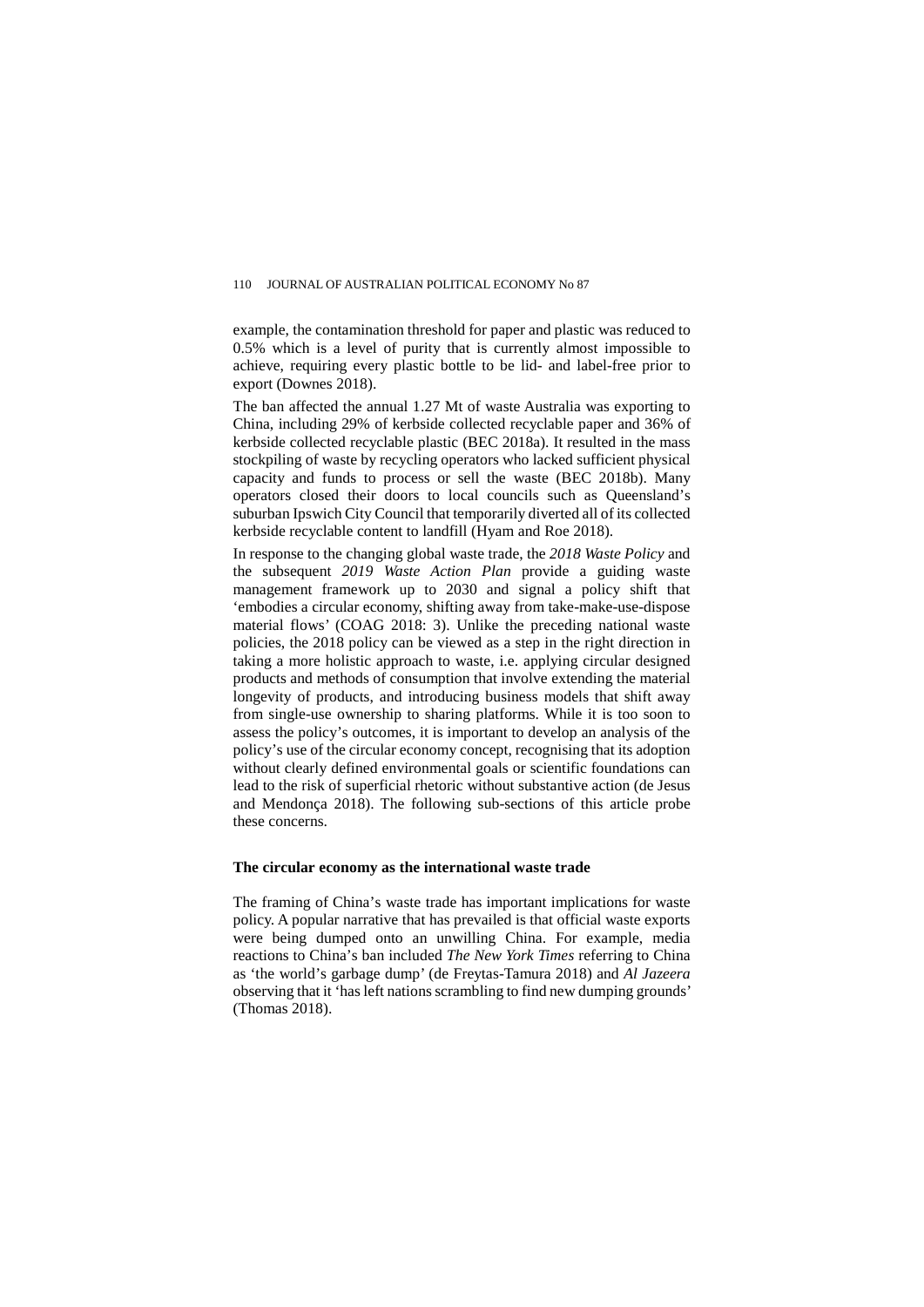example, the contamination threshold for paper and plastic was reduced to 0.5% which is a level of purity that is currently almost impossible to achieve, requiring every plastic bottle to be lid- and label-free prior to export (Downes 2018).

The ban affected the annual 1.27 Mt of waste Australia was exporting to China, including 29% of kerbside collected recyclable paper and 36% of kerbside collected recyclable plastic (BEC 2018a). It resulted in the mass stockpiling of waste by recycling operators who lacked sufficient physical capacity and funds to process or sell the waste (BEC 2018b). Many operators closed their doors to local councils such as Queensland's suburban Ipswich City Council that temporarily diverted all of its collected kerbside recyclable content to landfill (Hyam and Roe 2018).

In response to the changing global waste trade, the *2018 Waste Policy* and the subsequent *2019 Waste Action Plan* provide a guiding waste management framework up to 2030 and signal a policy shift that 'embodies a circular economy, shifting away from take-make-use-dispose material flows' (COAG 2018: 3). Unlike the preceding national waste policies, the 2018 policy can be viewed as a step in the right direction in taking a more holistic approach to waste, i.e. applying circular designed products and methods of consumption that involve extending the material longevity of products, and introducing business models that shift away from single-use ownership to sharing platforms. While it is too soon to assess the policy's outcomes, it is important to develop an analysis of the policy's use of the circular economy concept, recognising that its adoption without clearly defined environmental goals or scientific foundations can lead to the risk of superficial rhetoric without substantive action (de Jesus and Mendonça 2018). The following sub-sections of this article probe these concerns.

#### **The circular economy as the international waste trade**

The framing of China's waste trade has important implications for waste policy. A popular narrative that has prevailed is that official waste exports were being dumped onto an unwilling China. For example, media reactions to China's ban included *The New York Times* referring to China as 'the world's garbage dump' (de Freytas-Tamura 2018) and *Al Jazeera* observing that it 'has left nations scrambling to find new dumping grounds' (Thomas 2018).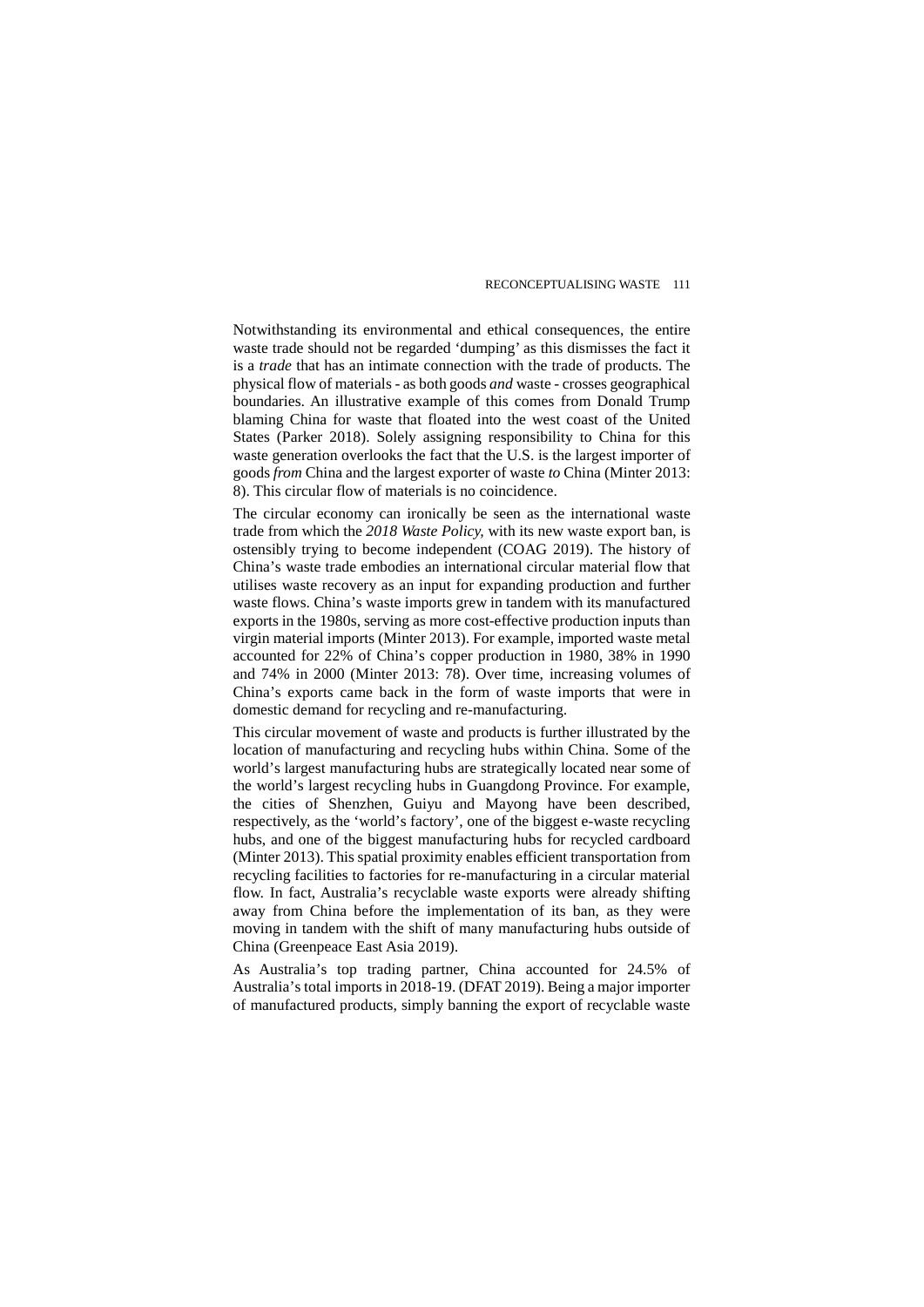Notwithstanding its environmental and ethical consequences, the entire waste trade should not be regarded 'dumping' as this dismisses the fact it is a *trade* that has an intimate connection with the trade of products. The physical flow of materials - as both goods *and* waste - crosses geographical boundaries. An illustrative example of this comes from Donald Trump blaming China for waste that floated into the west coast of the United States (Parker 2018). Solely assigning responsibility to China for this waste generation overlooks the fact that the U.S. is the largest importer of goods *from* China and the largest exporter of waste *to* China (Minter 2013: 8). This circular flow of materials is no coincidence.

The circular economy can ironically be seen as the international waste trade from which the *2018 Waste Policy,* with its new waste export ban, is ostensibly trying to become independent (COAG 2019). The history of China's waste trade embodies an international circular material flow that utilises waste recovery as an input for expanding production and further waste flows. China's waste imports grew in tandem with its manufactured exports in the 1980s, serving as more cost-effective production inputs than virgin material imports (Minter 2013). For example, imported waste metal accounted for 22% of China's copper production in 1980, 38% in 1990 and 74% in 2000 (Minter 2013: 78). Over time, increasing volumes of China's exports came back in the form of waste imports that were in domestic demand for recycling and re-manufacturing.

This circular movement of waste and products is further illustrated by the location of manufacturing and recycling hubs within China. Some of the world's largest manufacturing hubs are strategically located near some of the world's largest recycling hubs in Guangdong Province. For example, the cities of Shenzhen, Guiyu and Mayong have been described, respectively, as the 'world's factory', one of the biggest e-waste recycling hubs, and one of the biggest manufacturing hubs for recycled cardboard (Minter 2013). This spatial proximity enables efficient transportation from recycling facilities to factories for re-manufacturing in a circular material flow. In fact, Australia's recyclable waste exports were already shifting away from China before the implementation of its ban, as they were moving in tandem with the shift of many manufacturing hubs outside of China (Greenpeace East Asia 2019).

As Australia's top trading partner, China accounted for 24.5% of Australia's total imports in 2018-19. (DFAT 2019). Being a major importer of manufactured products, simply banning the export of recyclable waste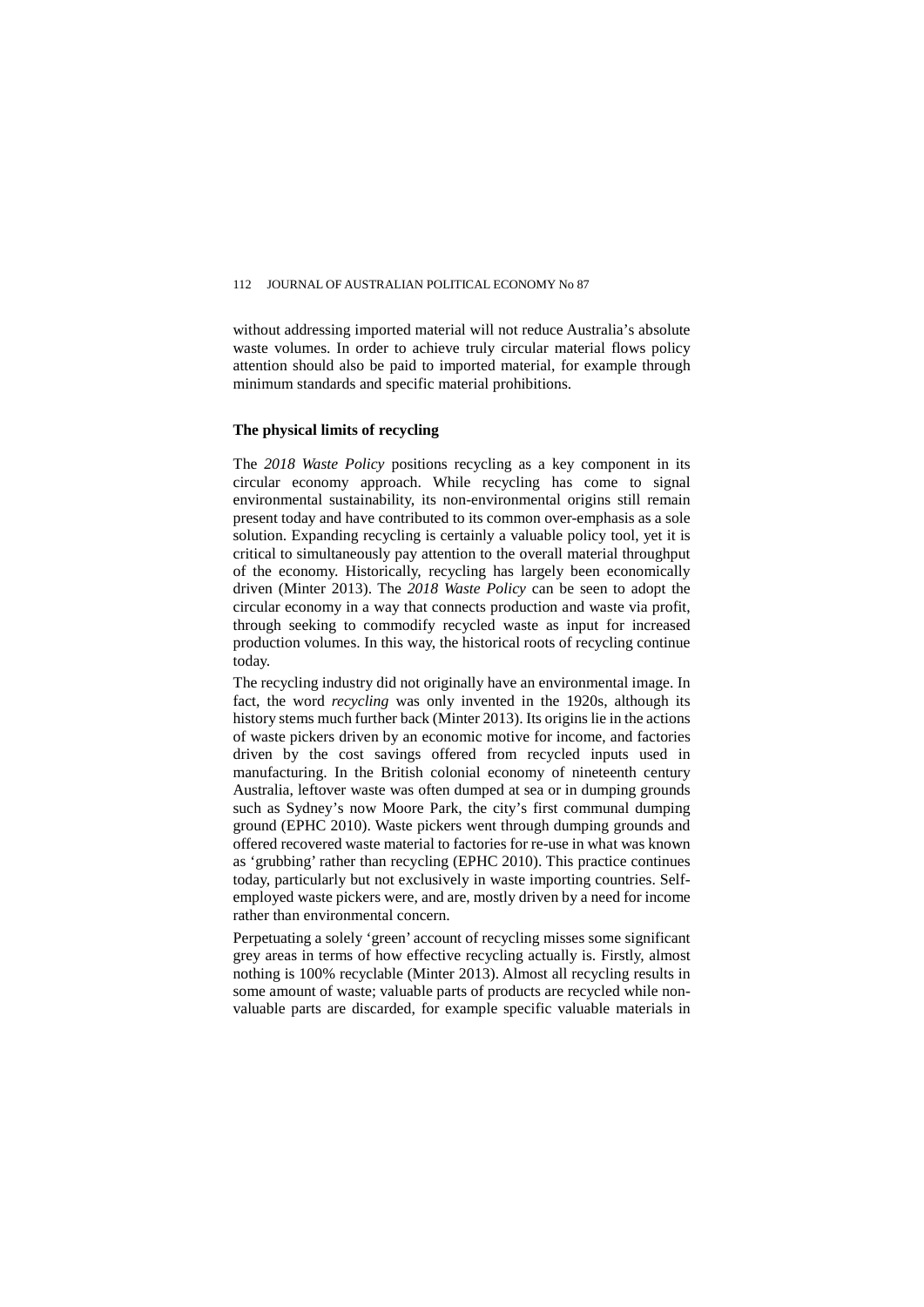without addressing imported material will not reduce Australia's absolute waste volumes. In order to achieve truly circular material flows policy attention should also be paid to imported material, for example through minimum standards and specific material prohibitions.

#### **The physical limits of recycling**

The *2018 Waste Policy* positions recycling as a key component in its circular economy approach. While recycling has come to signal environmental sustainability, its non-environmental origins still remain present today and have contributed to its common over-emphasis as a sole solution. Expanding recycling is certainly a valuable policy tool, yet it is critical to simultaneously pay attention to the overall material throughput of the economy. Historically, recycling has largely been economically driven (Minter 2013). The *2018 Waste Policy* can be seen to adopt the circular economy in a way that connects production and waste via profit, through seeking to commodify recycled waste as input for increased production volumes. In this way, the historical roots of recycling continue today.

The recycling industry did not originally have an environmental image. In fact, the word *recycling* was only invented in the 1920s, although its history stems much further back (Minter 2013). Its origins lie in the actions of waste pickers driven by an economic motive for income, and factories driven by the cost savings offered from recycled inputs used in manufacturing. In the British colonial economy of nineteenth century Australia, leftover waste was often dumped at sea or in dumping grounds such as Sydney's now Moore Park, the city's first communal dumping ground (EPHC 2010). Waste pickers went through dumping grounds and offered recovered waste material to factories for re-use in what was known as 'grubbing' rather than recycling (EPHC 2010). This practice continues today, particularly but not exclusively in waste importing countries. Selfemployed waste pickers were, and are, mostly driven by a need for income rather than environmental concern.

Perpetuating a solely 'green' account of recycling misses some significant grey areas in terms of how effective recycling actually is. Firstly, almost nothing is 100% recyclable (Minter 2013). Almost all recycling results in some amount of waste; valuable parts of products are recycled while nonvaluable parts are discarded, for example specific valuable materials in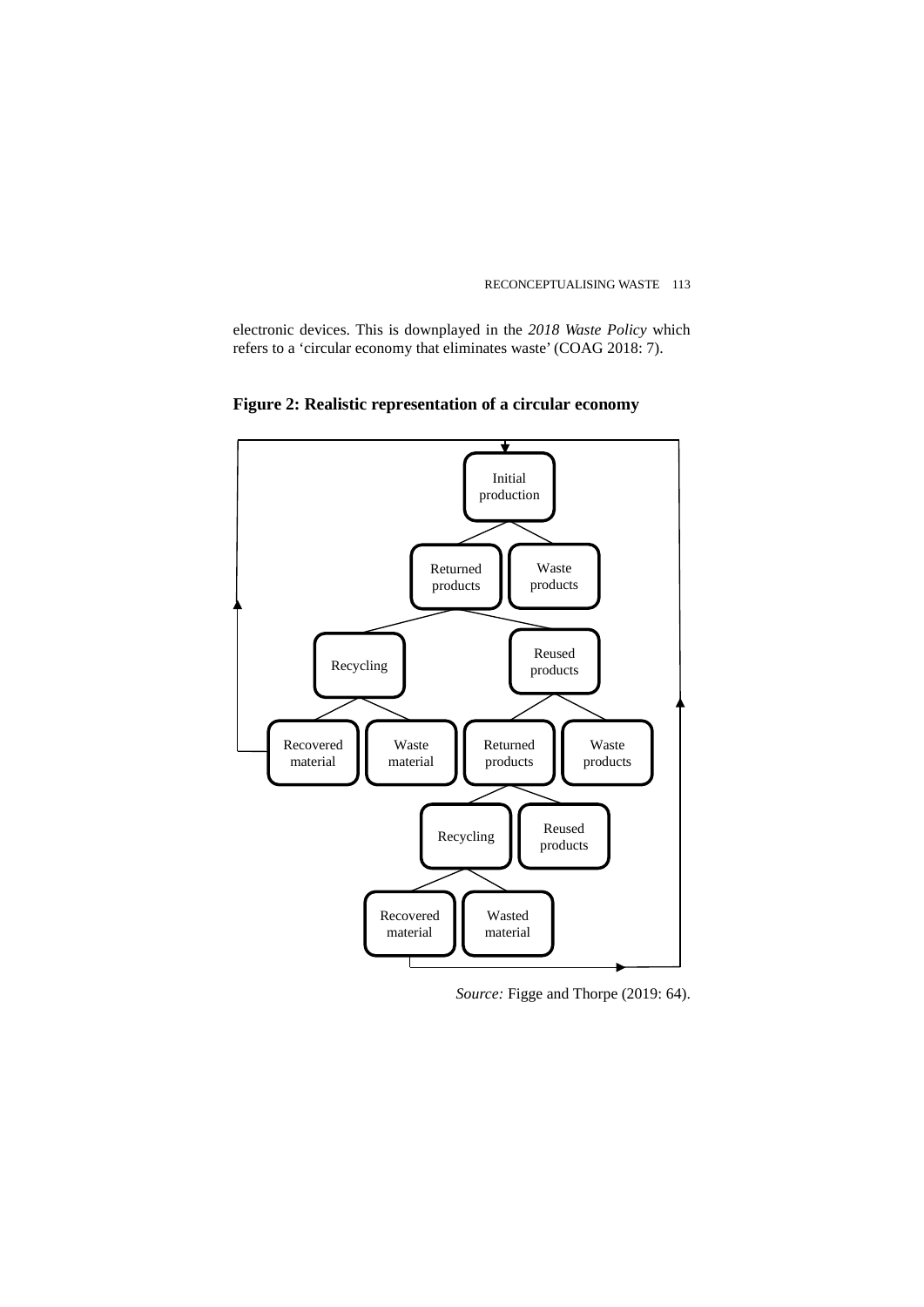electronic devices. This is downplayed in the *2018 Waste Policy* which refers to a 'circular economy that eliminates waste' (COAG 2018: 7).



**Figure 2: Realistic representation of a circular economy**

*Source:* Figge and Thorpe (2019: 64).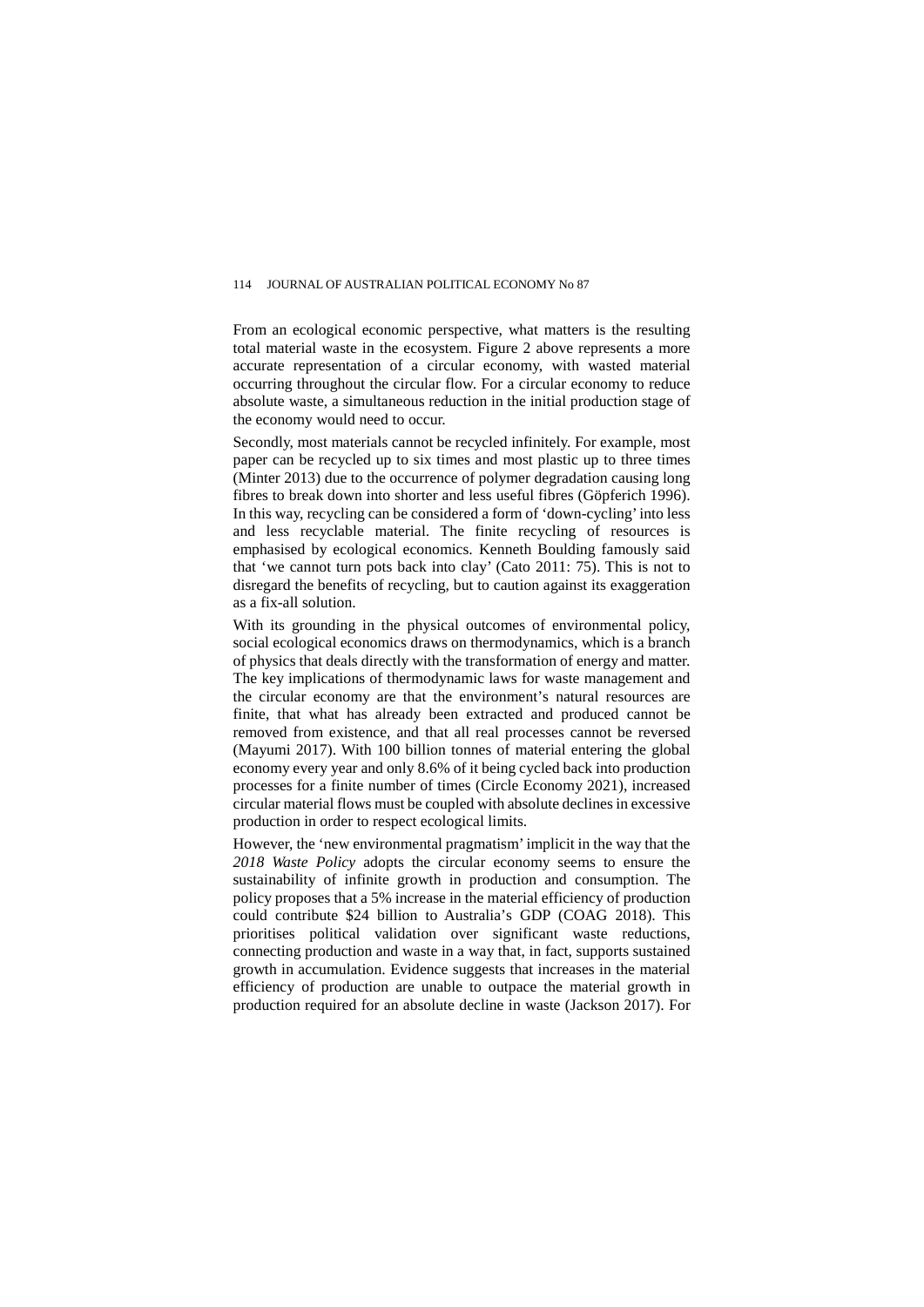From an ecological economic perspective, what matters is the resulting total material waste in the ecosystem. Figure 2 above represents a more accurate representation of a circular economy, with wasted material occurring throughout the circular flow. For a circular economy to reduce absolute waste, a simultaneous reduction in the initial production stage of the economy would need to occur.

Secondly, most materials cannot be recycled infinitely. For example, most paper can be recycled up to six times and most plastic up to three times (Minter 2013) due to the occurrence of polymer degradation causing long fibres to break down into shorter and less useful fibres (Göpferich 1996). In this way, recycling can be considered a form of 'down-cycling' into less and less recyclable material. The finite recycling of resources is emphasised by ecological economics. Kenneth Boulding famously said that 'we cannot turn pots back into clay' (Cato 2011: 75). This is not to disregard the benefits of recycling, but to caution against its exaggeration as a fix-all solution.

With its grounding in the physical outcomes of environmental policy, social ecological economics draws on thermodynamics, which is a branch of physics that deals directly with the transformation of energy and matter. The key implications of thermodynamic laws for waste management and the circular economy are that the environment's natural resources are finite, that what has already been extracted and produced cannot be removed from existence, and that all real processes cannot be reversed (Mayumi 2017). With 100 billion tonnes of material entering the global economy every year and only 8.6% of it being cycled back into production processes for a finite number of times (Circle Economy 2021), increased circular material flows must be coupled with absolute declines in excessive production in order to respect ecological limits.

However, the 'new environmental pragmatism' implicit in the way that the *2018 Waste Policy* adopts the circular economy seems to ensure the sustainability of infinite growth in production and consumption. The policy proposes that a 5% increase in the material efficiency of production could contribute \$24 billion to Australia's GDP (COAG 2018). This prioritises political validation over significant waste reductions, connecting production and waste in a way that, in fact, supports sustained growth in accumulation. Evidence suggests that increases in the material efficiency of production are unable to outpace the material growth in production required for an absolute decline in waste (Jackson 2017). For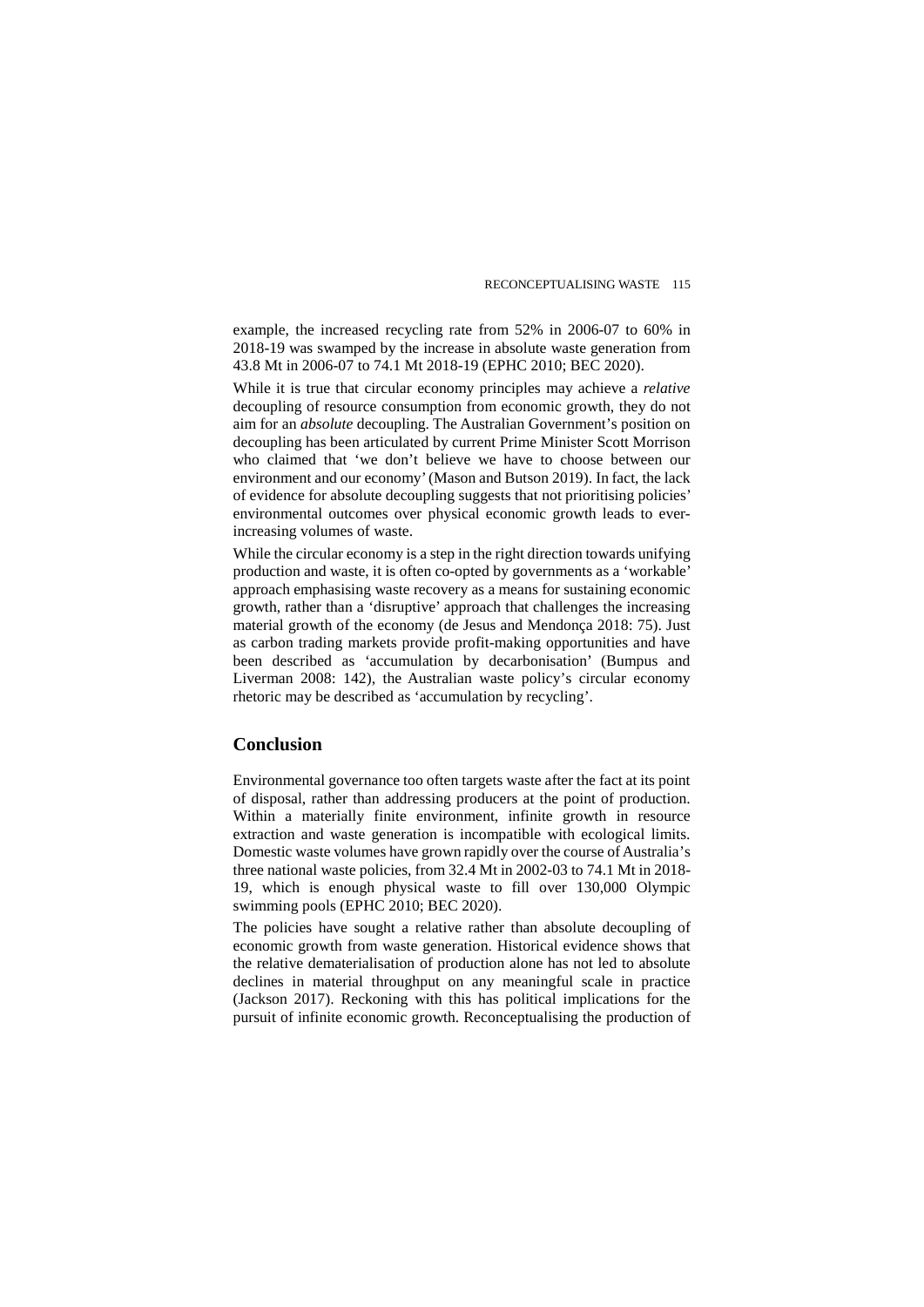example, the increased recycling rate from 52% in 2006-07 to 60% in 2018-19 was swamped by the increase in absolute waste generation from 43.8 Mt in 2006-07 to 74.1 Mt 2018-19 (EPHC 2010; BEC 2020).

While it is true that circular economy principles may achieve a *relative* decoupling of resource consumption from economic growth, they do not aim for an *absolute* decoupling. The Australian Government's position on decoupling has been articulated by current Prime Minister Scott Morrison who claimed that 'we don't believe we have to choose between our environment and our economy' (Mason and Butson 2019). In fact, the lack of evidence for absolute decoupling suggests that not prioritising policies' environmental outcomes over physical economic growth leads to everincreasing volumes of waste.

While the circular economy is a step in the right direction towards unifying production and waste, it is often co-opted by governments as a 'workable' approach emphasising waste recovery as a means for sustaining economic growth, rather than a 'disruptive' approach that challenges the increasing material growth of the economy (de Jesus and Mendonça 2018: 75). Just as carbon trading markets provide profit-making opportunities and have been described as 'accumulation by decarbonisation' (Bumpus and Liverman 2008: 142), the Australian waste policy's circular economy rhetoric may be described as 'accumulation by recycling'.

#### **Conclusion**

Environmental governance too often targets waste after the fact at its point of disposal, rather than addressing producers at the point of production. Within a materially finite environment, infinite growth in resource extraction and waste generation is incompatible with ecological limits. Domestic waste volumes have grown rapidly over the course of Australia's three national waste policies, from 32.4 Mt in 2002-03 to 74.1 Mt in 2018- 19, which is enough physical waste to fill over 130,000 Olympic swimming pools (EPHC 2010; BEC 2020).

The policies have sought a relative rather than absolute decoupling of economic growth from waste generation. Historical evidence shows that the relative dematerialisation of production alone has not led to absolute declines in material throughput on any meaningful scale in practice (Jackson 2017). Reckoning with this has political implications for the pursuit of infinite economic growth. Reconceptualising the production of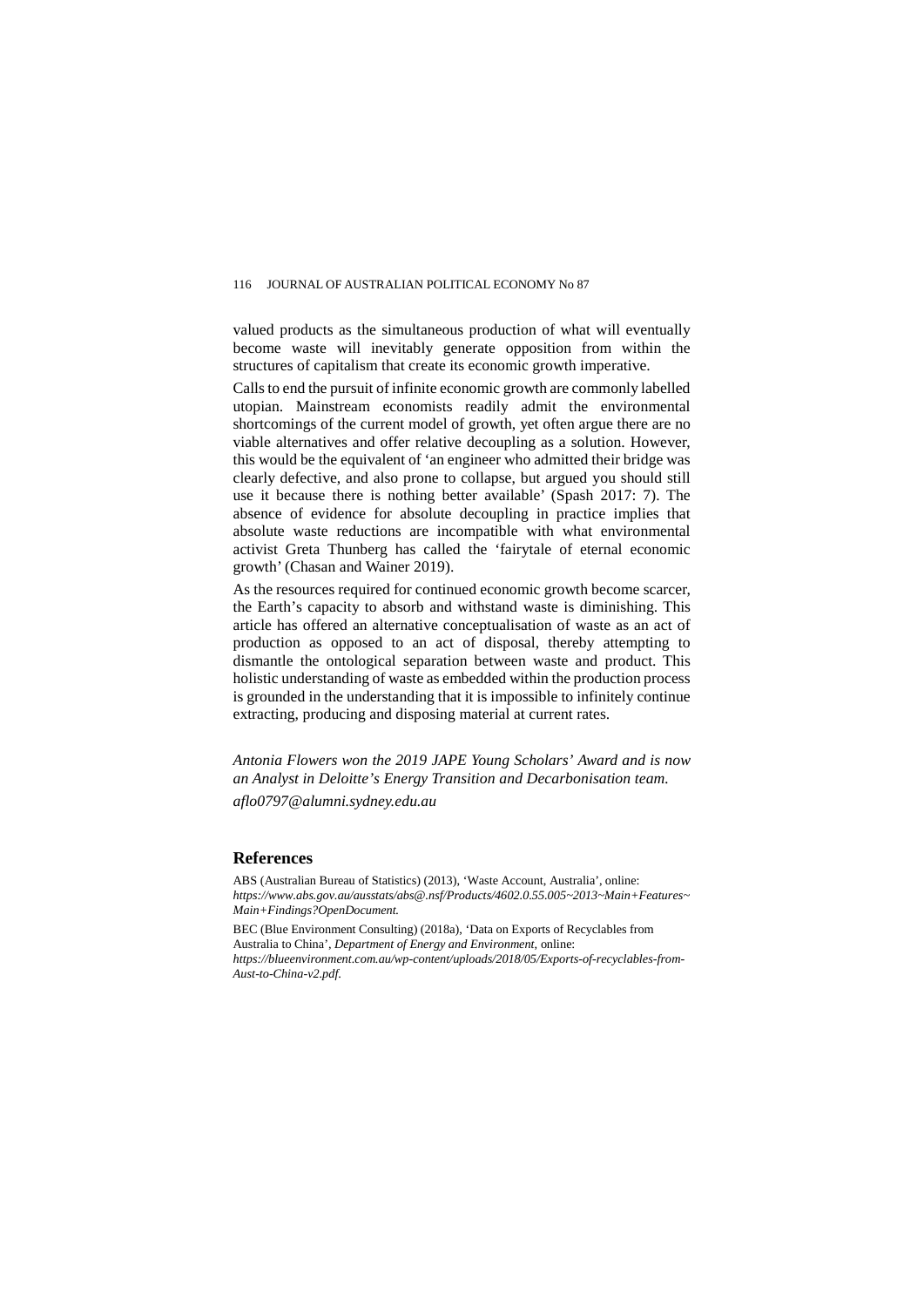valued products as the simultaneous production of what will eventually become waste will inevitably generate opposition from within the structures of capitalism that create its economic growth imperative.

Calls to end the pursuit of infinite economic growth are commonly labelled utopian. Mainstream economists readily admit the environmental shortcomings of the current model of growth, yet often argue there are no viable alternatives and offer relative decoupling as a solution. However, this would be the equivalent of 'an engineer who admitted their bridge was clearly defective, and also prone to collapse, but argued you should still use it because there is nothing better available' (Spash 2017: 7). The absence of evidence for absolute decoupling in practice implies that absolute waste reductions are incompatible with what environmental activist Greta Thunberg has called the 'fairytale of eternal economic growth' (Chasan and Wainer 2019).

As the resources required for continued economic growth become scarcer, the Earth's capacity to absorb and withstand waste is diminishing. This article has offered an alternative conceptualisation of waste as an act of production as opposed to an act of disposal, thereby attempting to dismantle the ontological separation between waste and product. This holistic understanding of waste as embedded within the production process is grounded in the understanding that it is impossible to infinitely continue extracting, producing and disposing material at current rates.

*Antonia Flowers won the 2019 JAPE Young Scholars' Award and is now an Analyst in Deloitte's Energy Transition and Decarbonisation team.*

*aflo0797@alumni.sydney.edu.au*

#### **References**

ABS (Australian Bureau of Statistics) (2013), 'Waste Account, Australia', online: *https://www.abs.gov.au/ausstats/abs@.nsf/Products/4602.0.55.005~2013~Main+Features~ Main+Findings?OpenDocument.*

BEC (Blue Environment Consulting) (2018a), 'Data on Exports of Recyclables from Australia to China', *Department of Energy and Environment*, online: *https://blueenvironment.com.au/wp-content/uploads/2018/05/Exports-of-recyclables-from-*

*Aust-to-China-v2.pdf*.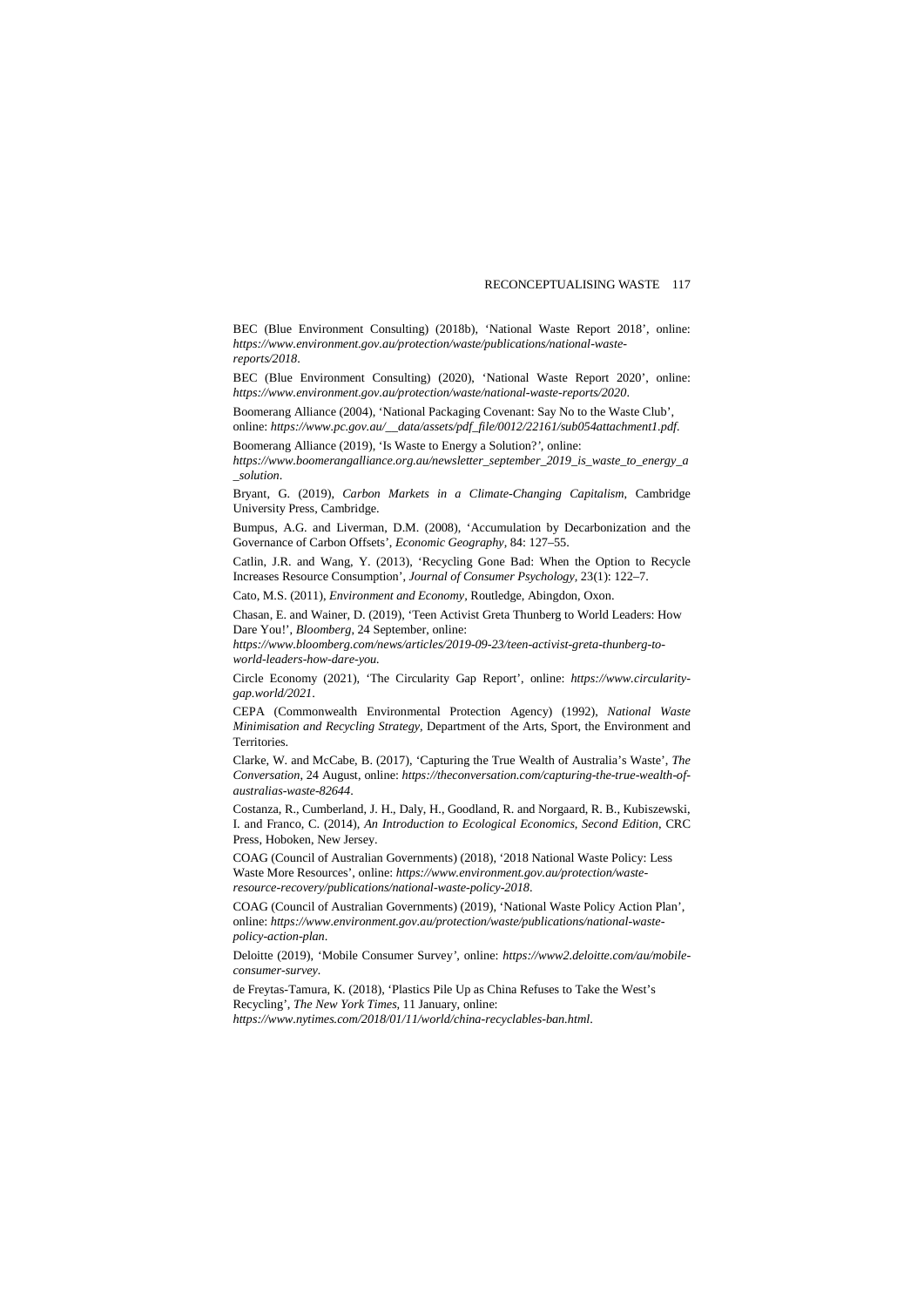BEC (Blue Environment Consulting) (2018b), 'National Waste Report 2018', online: *https://www.environment.gov.au/protection/waste/publications/national-wastereports/2018*.

BEC (Blue Environment Consulting) (2020), 'National Waste Report 2020', online: *https://www.environment.gov.au/protection/waste/national-waste-reports/2020*.

Boomerang Alliance (2004), 'National Packaging Covenant: Say No to the Waste Club', online: *https://www.pc.gov.au/\_\_data/assets/pdf\_file/0012/22161/sub054attachment1.pdf.*

Boomerang Alliance (2019), 'Is Waste to Energy a Solution?*'*, online:

*https://www.boomerangalliance.org.au/newsletter\_september\_2019\_is\_waste\_to\_energy\_a \_solution*.

Bryant, G. (2019), *Carbon Markets in a Climate-Changing Capitalism*, Cambridge University Press, Cambridge.

Bumpus, A.G. and Liverman, D.M. (2008), 'Accumulation by Decarbonization and the Governance of Carbon Offsets', *Economic Geography,* 84: 127–55.

Catlin, J.R. and Wang, Y. (2013), 'Recycling Gone Bad: When the Option to Recycle Increases Resource Consumption', *Journal of Consumer Psychology,* 23(1): 122–7.

Cato, M.S. (2011), *Environment and Economy,* Routledge, Abingdon, Oxon.

Chasan, E. and Wainer, D. (2019), 'Teen Activist Greta Thunberg to World Leaders: How Dare You!', *Bloomberg*, 24 September, online:

*https://www.bloomberg.com/news/articles/2019-09-23/teen-activist-greta-thunberg-toworld-leaders-how-dare-you.*

Circle Economy (2021), 'The Circularity Gap Report', online: *https://www.circularitygap.world/2021*.

CEPA (Commonwealth Environmental Protection Agency) (1992), *National Waste Minimisation and Recycling Strategy,* Department of the Arts, Sport, the Environment and Territories.

Clarke, W. and McCabe, B. (2017), 'Capturing the True Wealth of Australia's Waste', *The Conversation*, 24 August, online: *https://theconversation.com/capturing-the-true-wealth-ofaustralias-waste-82644*.

Costanza, R., Cumberland, J. H., Daly, H., Goodland, R. and Norgaard, R. B., Kubiszewski, I. and Franco, C. (2014), *An Introduction to Ecological Economics, Second Edition*, CRC Press, Hoboken, New Jersey.

COAG (Council of Australian Governments) (2018), '2018 National Waste Policy: Less Waste More Resources', online: *https://www.environment.gov.au/protection/wasteresource-recovery/publications/national-waste-policy-2018*.

COAG (Council of Australian Governments) (2019), 'National Waste Policy Action Plan', online: *https://www.environment.gov.au/protection/waste/publications/national-wastepolicy-action-plan*.

Deloitte (2019), 'Mobile Consumer Survey*',* online: *https://www2.deloitte.com/au/mobileconsumer-survey.*

de Freytas-Tamura, K. (2018), 'Plastics Pile Up as China Refuses to Take the West's Recycling', *The New York Times,* 11 January, online: *https://www.nytimes.com/2018/01/11/world/china-recyclables-ban.html*.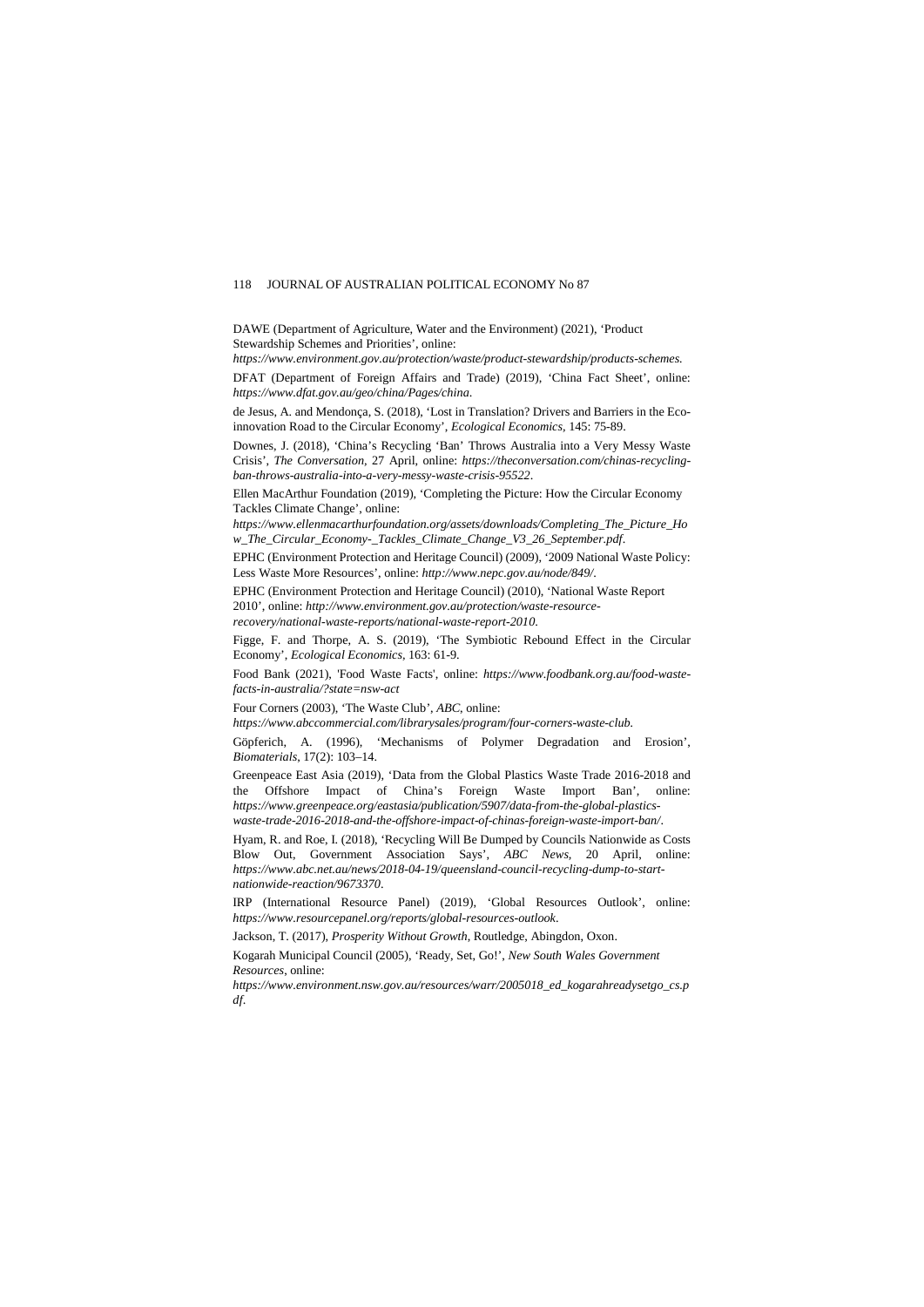DAWE (Department of Agriculture, Water and the Environment) (2021), 'Product Stewardship Schemes and Priorities', online:

*https://www.environment.gov.au/protection/waste/product-stewardship/products-schemes.*

DFAT (Department of Foreign Affairs and Trade) (2019), 'China Fact Sheet', online: *https://www.dfat.gov.au/geo/china/Pages/china*.

de Jesus, A. and Mendonça, S. (2018), 'Lost in Translation? Drivers and Barriers in the Ecoinnovation Road to the Circular Economy', *Ecological Economics,* 145: 75-89.

Downes, J. (2018), 'China's Recycling 'Ban' Throws Australia into a Very Messy Waste Crisis', *The Conversation,* 27 April, online: *https://theconversation.com/chinas-recyclingban-throws-australia-into-a-very-messy-waste-crisis-95522*.

Ellen MacArthur Foundation (2019), 'Completing the Picture: How the Circular Economy Tackles Climate Change', online:

*https://www.ellenmacarthurfoundation.org/assets/downloads/Completing\_The\_Picture\_Ho w\_The\_Circular\_Economy-\_Tackles\_Climate\_Change\_V3\_26\_September.pdf*.

EPHC (Environment Protection and Heritage Council) (2009), '2009 National Waste Policy: Less Waste More Resources', online: *http://www.nepc.gov.au/node/849/*.

EPHC (Environment Protection and Heritage Council) (2010), 'National Waste Report 2010', online: *http://www.environment.gov.au/protection/waste-resourcerecovery/national-waste-reports/national-waste-report-2010*.

Figge, F. and Thorpe, A. S. (2019), 'The Symbiotic Rebound Effect in the Circular Economy', *Ecological Economics,* 163: 61-9.

Food Bank (2021), 'Food Waste Facts', online: *https://www.foodbank.org.au/food-wastefacts-in-australia/?state=nsw-act*

Four Corners (2003), 'The Waste Club', *ABC*, online:

*https://www.abccommercial.com/librarysales/program/four-corners-waste-club.*

Göpferich, A. (1996), 'Mechanisms of Polymer Degradation and Erosion', *Biomaterials*, 17(2): 103–14.

Greenpeace East Asia (2019), 'Data from the Global Plastics Waste Trade 2016-2018 and the Offshore Impact of China's Foreign Waste Import Ban', online: *https://www.greenpeace.org/eastasia/publication/5907/data-from-the-global-plasticswaste-trade-2016-2018-and-the-offshore-impact-of-chinas-foreign-waste-import-ban/*.

Hyam, R. and Roe, I. (2018), 'Recycling Will Be Dumped by Councils Nationwide as Costs Blow Out, Government Association Says', *ABC News,* 20 April, online: *https://www.abc.net.au/news/2018-04-19/queensland-council-recycling-dump-to-startnationwide-reaction/9673370*.

IRP (International Resource Panel) (2019), 'Global Resources Outlook', online: *https://www.resourcepanel.org/reports/global-resources-outlook*.

Jackson, T. (2017), *Prosperity Without Growth*, Routledge, Abingdon, Oxon.

Kogarah Municipal Council (2005), 'Ready, Set, Go!', *New South Wales Government Resources*, online:

*https://www.environment.nsw.gov.au/resources/warr/2005018\_ed\_kogarahreadysetgo\_cs.p df*.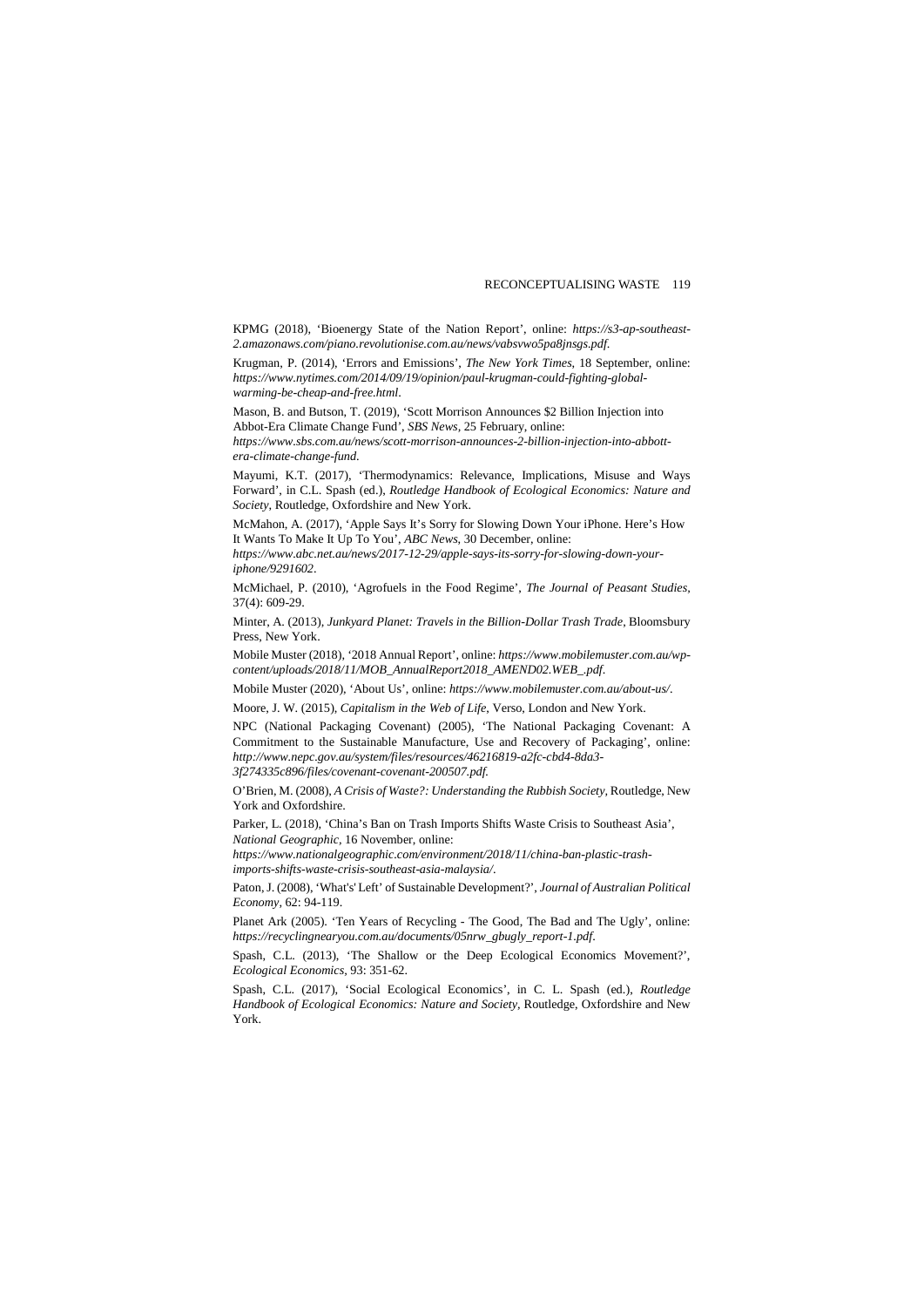KPMG (2018), 'Bioenergy State of the Nation Report', online: *https://s3-ap-southeast-2.amazonaws.com/piano.revolutionise.com.au/news/vabsvwo5pa8jnsgs.pdf*.

Krugman, P. (2014), 'Errors and Emissions', *The New York Times*, 18 September, online: *https://www.nytimes.com/2014/09/19/opinion/paul-krugman-could-fighting-globalwarming-be-cheap-and-free.html*.

Mason, B. and Butson, T. (2019), 'Scott Morrison Announces \$2 Billion Injection into Abbot-Era Climate Change Fund', *SBS News,* 25 February, online:

*https://www.sbs.com.au/news/scott-morrison-announces-2-billion-injection-into-abbottera-climate-change-fund*.

Mayumi, K.T. (2017), 'Thermodynamics: Relevance, Implications, Misuse and Ways Forward', in C.L. Spash (ed.), *Routledge Handbook of Ecological Economics: Nature and Society*, Routledge, Oxfordshire and New York.

McMahon, A. (2017), 'Apple Says It's Sorry for Slowing Down Your iPhone. Here's How It Wants To Make It Up To You', *ABC News*, 30 December, online:

*https://www.abc.net.au/news/2017-12-29/apple-says-its-sorry-for-slowing-down-youriphone/9291602*.

McMichael, P. (2010), 'Agrofuels in the Food Regime', *The Journal of Peasant Studies,* 37(4): 609-29.

Minter, A. (2013), *Junkyard Planet: Travels in the Billion-Dollar Trash Trade*, Bloomsbury Press, New York.

Mobile Muster (2018), '2018 Annual Report', online: *https://www.mobilemuster.com.au/wpcontent/uploads/2018/11/MOB\_AnnualReport2018\_AMEND02.WEB\_.pdf*.

Mobile Muster (2020), 'About Us', online: *https://www.mobilemuster.com.au/about-us/*.

Moore, J. W. (2015), *Capitalism in the Web of Life*, Verso, London and New York.

NPC (National Packaging Covenant) (2005), 'The National Packaging Covenant: A Commitment to the Sustainable Manufacture, Use and Recovery of Packaging', online: *http://www.nepc.gov.au/system/files/resources/46216819-a2fc-cbd4-8da3- 3f274335c896/files/covenant-covenant-200507.pdf.*

O'Brien, M. (2008), *A Crisis of Waste?: Understanding the Rubbish Society,* Routledge, New York and Oxfordshire.

Parker, L. (2018), 'China's Ban on Trash Imports Shifts Waste Crisis to Southeast Asia', *National Geographic,* 16 November, online:

*https://www.nationalgeographic.com/environment/2018/11/china-ban-plastic-trashimports-shifts-waste-crisis-southeast-asia-malaysia/*.

Paton, J. (2008), 'What's' Left' of Sustainable Development?', *Journal of Australian Political Economy,* 62: 94-119.

Planet Ark (2005). 'Ten Years of Recycling - The Good, The Bad and The Ugly', online: *https://recyclingnearyou.com.au/documents/05nrw\_gbugly\_report-1.pdf*.

Spash, C.L. (2013), 'The Shallow or the Deep Ecological Economics Movement?', *Ecological Economics,* 93: 351-62.

Spash, C.L. (2017), 'Social Ecological Economics', in C. L. Spash (ed.), *Routledge Handbook of Ecological Economics: Nature and Society,* Routledge, Oxfordshire and New York.